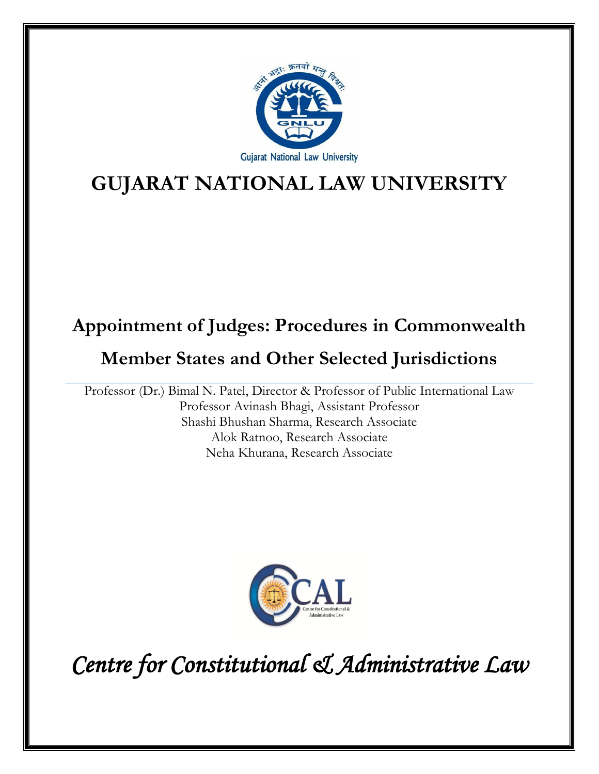

# **GUJARAT NATIONAL LAW UNIVERSITY**

# **Appointment of Judges: Procedures in Commonwealth**

# **Member States and Other Selected Jurisdictions**

Professor (Dr.) Bimal N. Patel, Director & Professor of Public International Law Professor Avinash Bhagi, Assistant Professor Shashi Bhushan Sharma, Research Associate Alok Ratnoo, Research Associate Neha Khurana, Research Associate



*Centre for Constitutional & Administrative Law*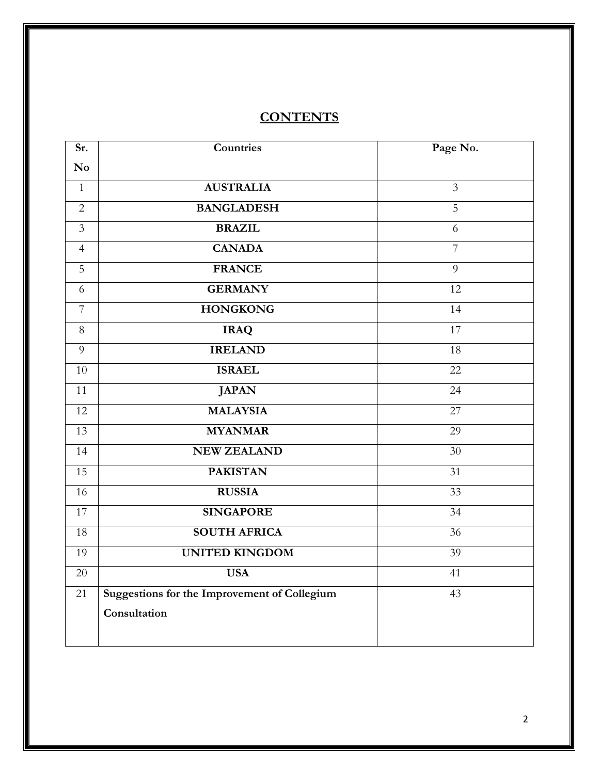## **CONTENTS**

| Sr.                    | Countries                                           | Page No.        |
|------------------------|-----------------------------------------------------|-----------------|
| $\mathbf{N}\mathbf{o}$ |                                                     |                 |
| $\mathbf{1}$           | <b>AUSTRALIA</b>                                    | $\overline{3}$  |
| $\overline{2}$         | <b>BANGLADESH</b>                                   | $\overline{5}$  |
| $\overline{3}$         | <b>BRAZIL</b>                                       | 6               |
| $\overline{4}$         | <b>CANADA</b>                                       | $\overline{7}$  |
| 5                      | <b>FRANCE</b>                                       | 9               |
| 6                      | <b>GERMANY</b>                                      | 12              |
| $\overline{7}$         | <b>HONGKONG</b>                                     | 14              |
| $8\,$                  | <b>IRAQ</b>                                         | 17              |
| 9                      | <b>IRELAND</b>                                      | 18              |
| 10                     | <b>ISRAEL</b>                                       | 22              |
| 11                     | <b>JAPAN</b>                                        | 24              |
| 12                     | <b>MALAYSIA</b>                                     | 27              |
| 13                     | <b>MYANMAR</b>                                      | 29              |
| 14                     | <b>NEW ZEALAND</b>                                  | 30              |
| 15                     | <b>PAKISTAN</b>                                     | 31              |
| 16                     | <b>RUSSIA</b>                                       | 33              |
| 17                     | <b>SINGAPORE</b>                                    | 34              |
| 18                     | <b>SOUTH AFRICA</b>                                 | 36              |
| 19                     | <b>UNITED KINGDOM</b>                               | $\overline{39}$ |
| 20                     | <b>USA</b>                                          | 41              |
| 21                     | <b>Suggestions for the Improvement of Collegium</b> | 43              |
|                        | Consultation                                        |                 |
|                        |                                                     |                 |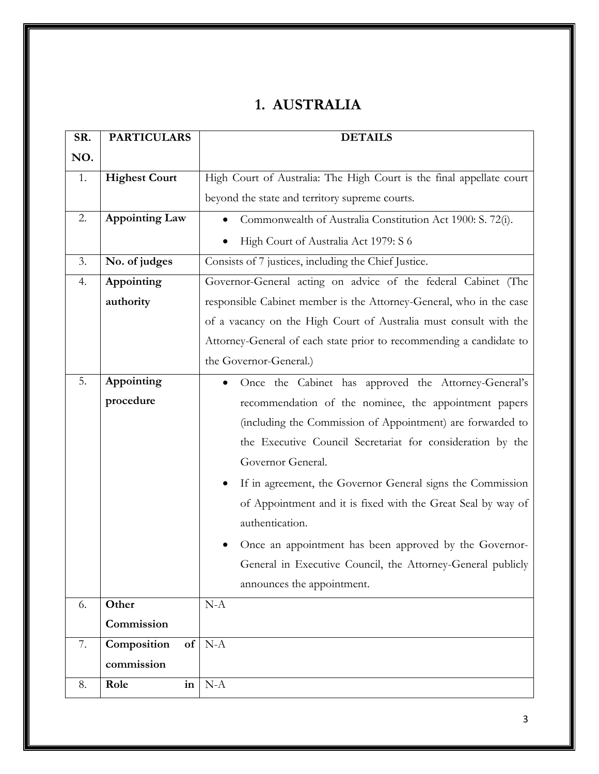## **1. AUSTRALIA**

| SR. | <b>PARTICULARS</b>    |    | <b>DETAILS</b>                                                       |
|-----|-----------------------|----|----------------------------------------------------------------------|
| NO. |                       |    |                                                                      |
| 1.  | <b>Highest Court</b>  |    | High Court of Australia: The High Court is the final appellate court |
|     |                       |    | beyond the state and territory supreme courts.                       |
| 2.  | <b>Appointing Law</b> |    | Commonwealth of Australia Constitution Act 1900: S. 72(i).           |
|     |                       |    | High Court of Australia Act 1979: S 6                                |
| 3.  | No. of judges         |    | Consists of 7 justices, including the Chief Justice.                 |
| 4.  | Appointing            |    | Governor-General acting on advice of the federal Cabinet (The        |
|     | authority             |    | responsible Cabinet member is the Attorney-General, who in the case  |
|     |                       |    | of a vacancy on the High Court of Australia must consult with the    |
|     |                       |    | Attorney-General of each state prior to recommending a candidate to  |
|     |                       |    | the Governor-General.)                                               |
| 5.  | Appointing            |    | Once the Cabinet has approved the Attorney-General's                 |
|     | procedure             |    | recommendation of the nominee, the appointment papers                |
|     |                       |    | (including the Commission of Appointment) are forwarded to           |
|     |                       |    | the Executive Council Secretariat for consideration by the           |
|     |                       |    | Governor General.                                                    |
|     |                       |    | If in agreement, the Governor General signs the Commission           |
|     |                       |    | of Appointment and it is fixed with the Great Seal by way of         |
|     |                       |    | authentication.                                                      |
|     |                       |    | Once an appointment has been approved by the Governor-               |
|     |                       |    | General in Executive Council, the Attorney-General publicly          |
|     |                       |    | announces the appointment.                                           |
| 6.  | Other                 |    | $N-A$                                                                |
|     | Commission            |    |                                                                      |
| 7.  | Composition           | of | $N-A$                                                                |
|     | commission            |    |                                                                      |
| 8.  | Role                  | in | $N-A$                                                                |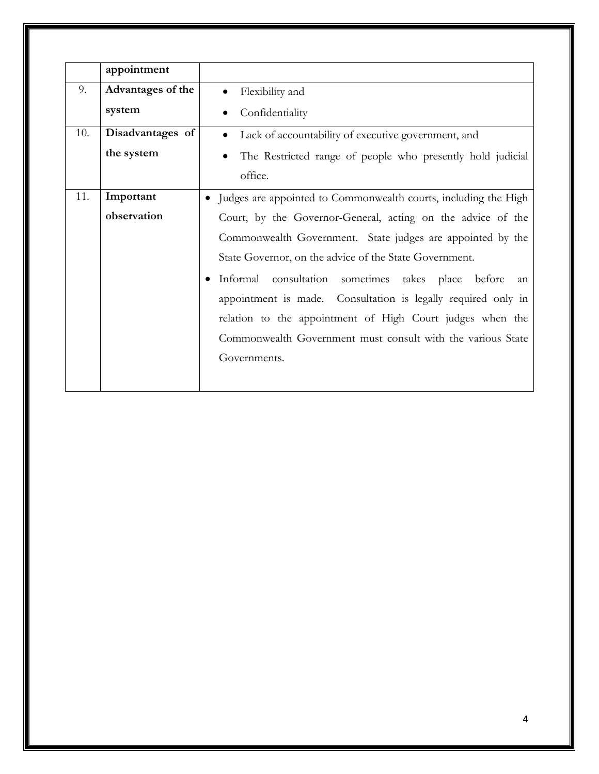|     | appointment       |                                                                 |
|-----|-------------------|-----------------------------------------------------------------|
| 9.  | Advantages of the | Flexibility and                                                 |
|     | system            | Confidentiality                                                 |
| 10. | Disadvantages of  | Lack of accountability of executive government, and             |
|     | the system        | The Restricted range of people who presently hold judicial      |
|     |                   | office.                                                         |
| 11. | Important         | Judges are appointed to Commonwealth courts, including the High |
|     | observation       | Court, by the Governor-General, acting on the advice of the     |
|     |                   | Commonwealth Government. State judges are appointed by the      |
|     |                   | State Governor, on the advice of the State Government.          |
|     |                   | Informal consultation sometimes takes place before<br>an        |
|     |                   | appointment is made. Consultation is legally required only in   |
|     |                   | relation to the appointment of High Court judges when the       |
|     |                   | Commonwealth Government must consult with the various State     |
|     |                   | Governments.                                                    |
|     |                   |                                                                 |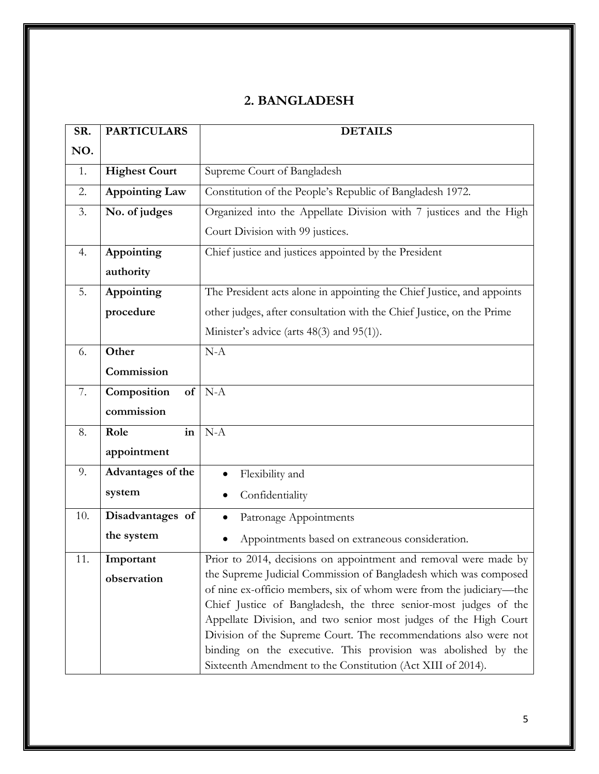#### **2. BANGLADESH**

| SR. | <b>PARTICULARS</b>    | <b>DETAILS</b>                                                                                                                          |
|-----|-----------------------|-----------------------------------------------------------------------------------------------------------------------------------------|
| NO. |                       |                                                                                                                                         |
| 1.  | <b>Highest Court</b>  | Supreme Court of Bangladesh                                                                                                             |
| 2.  | <b>Appointing Law</b> | Constitution of the People's Republic of Bangladesh 1972.                                                                               |
| 3.  | No. of judges         | Organized into the Appellate Division with 7 justices and the High                                                                      |
|     |                       | Court Division with 99 justices.                                                                                                        |
| 4.  | Appointing            | Chief justice and justices appointed by the President                                                                                   |
|     | authority             |                                                                                                                                         |
| 5.  | Appointing            | The President acts alone in appointing the Chief Justice, and appoints                                                                  |
|     | procedure             | other judges, after consultation with the Chief Justice, on the Prime                                                                   |
|     |                       | Minister's advice (arts 48(3) and 95(1)).                                                                                               |
| 6.  | Other                 | $N-A$                                                                                                                                   |
|     | Commission            |                                                                                                                                         |
| 7.  | Composition<br>of     | $N-A$                                                                                                                                   |
|     | commission            |                                                                                                                                         |
| 8.  | Role<br>in            | $N-A$                                                                                                                                   |
|     | appointment           |                                                                                                                                         |
| 9.  | Advantages of the     | Flexibility and                                                                                                                         |
|     | system                | Confidentiality                                                                                                                         |
| 10. | Disadvantages of      | Patronage Appointments                                                                                                                  |
|     | the system            | Appointments based on extraneous consideration.                                                                                         |
| 11. | Important             | Prior to 2014, decisions on appointment and removal were made by                                                                        |
|     | observation           | the Supreme Judicial Commission of Bangladesh which was composed                                                                        |
|     |                       | of nine ex-officio members, six of whom were from the judiciary—the<br>Chief Justice of Bangladesh, the three senior-most judges of the |
|     |                       | Appellate Division, and two senior most judges of the High Court                                                                        |
|     |                       | Division of the Supreme Court. The recommendations also were not                                                                        |
|     |                       | binding on the executive. This provision was abolished by the<br>Sixteenth Amendment to the Constitution (Act XIII of 2014).            |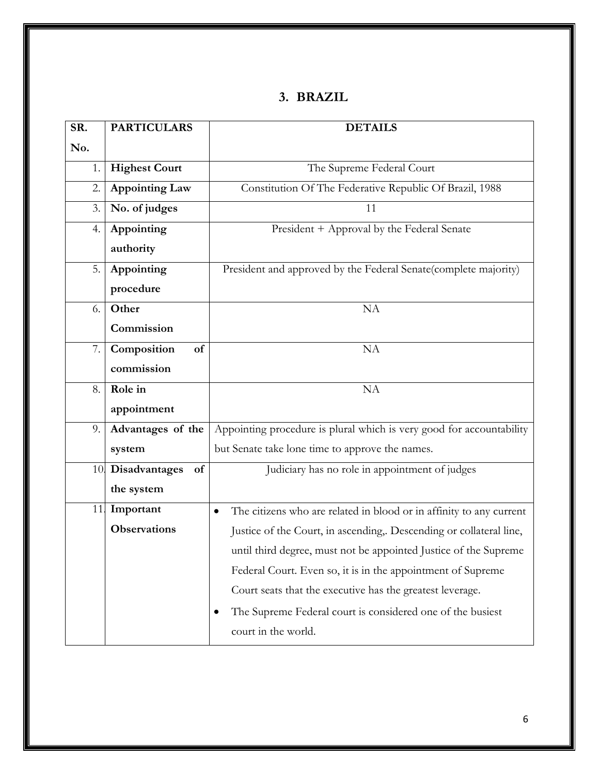#### **3. BRAZIL**

| SR. | <b>PARTICULARS</b>      | <b>DETAILS</b>                                                                   |
|-----|-------------------------|----------------------------------------------------------------------------------|
| No. |                         |                                                                                  |
| 1.  | <b>Highest Court</b>    | The Supreme Federal Court                                                        |
| 2.  | <b>Appointing Law</b>   | Constitution Of The Federative Republic Of Brazil, 1988                          |
| 3.  | No. of judges           | 11                                                                               |
| 4.  | Appointing              | President + Approval by the Federal Senate                                       |
|     | authority               |                                                                                  |
| 5.  | Appointing              | President and approved by the Federal Senate(complete majority)                  |
|     | procedure               |                                                                                  |
| 6.  | Other                   | NA                                                                               |
|     | Commission              |                                                                                  |
| 7.  | Composition<br>of       | <b>NA</b>                                                                        |
|     | commission              |                                                                                  |
| 8.  | Role in                 | NA                                                                               |
|     | appointment             |                                                                                  |
| 9.  | Advantages of the       | Appointing procedure is plural which is very good for accountability             |
|     | system                  | but Senate take lone time to approve the names.                                  |
|     | 10. Disadvantages<br>of | Judiciary has no role in appointment of judges                                   |
|     | the system              |                                                                                  |
| 11. | Important               | The citizens who are related in blood or in affinity to any current<br>$\bullet$ |
|     | <b>Observations</b>     | Justice of the Court, in ascending, Descending or collateral line,               |
|     |                         | until third degree, must not be appointed Justice of the Supreme                 |
|     |                         | Federal Court. Even so, it is in the appointment of Supreme                      |
|     |                         | Court seats that the executive has the greatest leverage.                        |
|     |                         | The Supreme Federal court is considered one of the busiest                       |
|     |                         | court in the world.                                                              |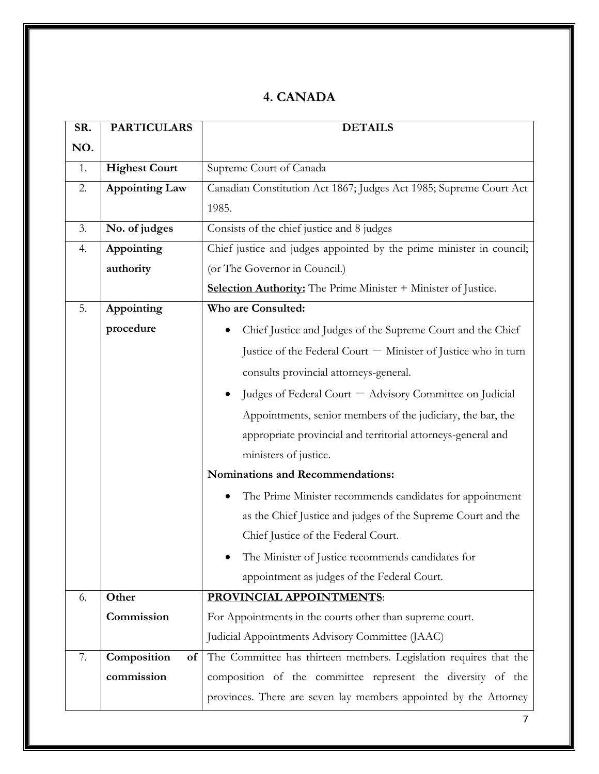#### **4. CANADA**

| SR. | <b>PARTICULARS</b>    | <b>DETAILS</b>                                                        |
|-----|-----------------------|-----------------------------------------------------------------------|
| NO. |                       |                                                                       |
| 1.  | <b>Highest Court</b>  | Supreme Court of Canada                                               |
| 2.  | <b>Appointing Law</b> | Canadian Constitution Act 1867; Judges Act 1985; Supreme Court Act    |
|     |                       | 1985.                                                                 |
| 3.  | No. of judges         | Consists of the chief justice and 8 judges                            |
| 4.  | Appointing            | Chief justice and judges appointed by the prime minister in council;  |
|     | authority             | (or The Governor in Council.)                                         |
|     |                       | <b>Selection Authority:</b> The Prime Minister + Minister of Justice. |
| 5.  | Appointing            | Who are Consulted:                                                    |
|     | procedure             | Chief Justice and Judges of the Supreme Court and the Chief           |
|     |                       | Justice of the Federal Court - Minister of Justice who in turn        |
|     |                       | consults provincial attorneys-general.                                |
|     |                       | Judges of Federal Court - Advisory Committee on Judicial              |
|     |                       | Appointments, senior members of the judiciary, the bar, the           |
|     |                       | appropriate provincial and territorial attorneys-general and          |
|     |                       | ministers of justice.                                                 |
|     |                       | Nominations and Recommendations:                                      |
|     |                       | The Prime Minister recommends candidates for appointment              |
|     |                       | as the Chief Justice and judges of the Supreme Court and the          |
|     |                       | Chief Justice of the Federal Court.                                   |
|     |                       | The Minister of Justice recommends candidates for                     |
|     |                       | appointment as judges of the Federal Court.                           |
| 6.  | Other                 | PROVINCIAL APPOINTMENTS:                                              |
|     | Commission            | For Appointments in the courts other than supreme court.              |
|     |                       | Judicial Appointments Advisory Committee (JAAC)                       |
| 7.  | Composition<br>of     | The Committee has thirteen members. Legislation requires that the     |
|     | commission            | composition of the committee represent the diversity of the           |
|     |                       | provinces. There are seven lay members appointed by the Attorney      |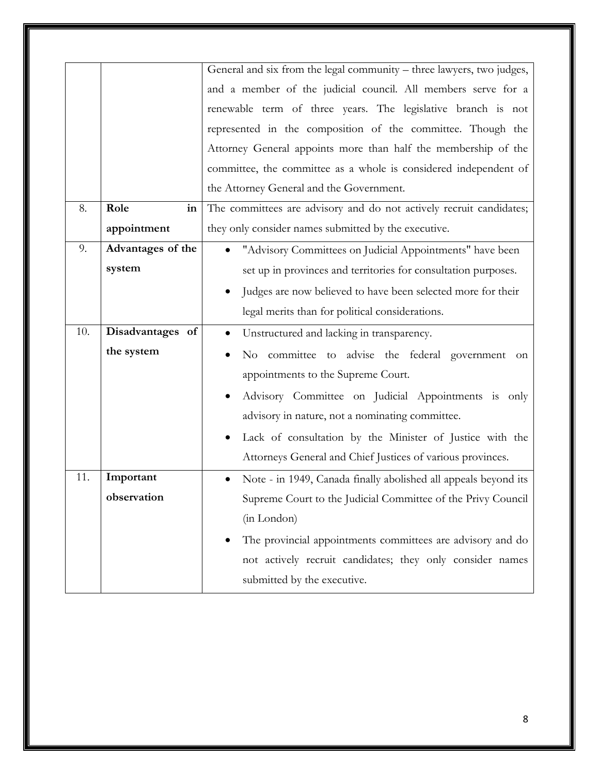|     |                   | General and six from the legal community - three lawyers, two judges,        |
|-----|-------------------|------------------------------------------------------------------------------|
|     |                   | and a member of the judicial council. All members serve for a                |
|     |                   | renewable term of three years. The legislative branch is not                 |
|     |                   | represented in the composition of the committee. Though the                  |
|     |                   | Attorney General appoints more than half the membership of the               |
|     |                   | committee, the committee as a whole is considered independent of             |
|     |                   | the Attorney General and the Government.                                     |
| 8.  | Role<br>in        | The committees are advisory and do not actively recruit candidates;          |
|     | appointment       | they only consider names submitted by the executive.                         |
| 9.  | Advantages of the | "Advisory Committees on Judicial Appointments" have been                     |
|     | system            | set up in provinces and territories for consultation purposes.               |
|     |                   | Judges are now believed to have been selected more for their                 |
|     |                   | legal merits than for political considerations.                              |
| 10. | Disadvantages of  | Unstructured and lacking in transparency.                                    |
|     | the system        | No committee to advise the federal government<br>on                          |
|     |                   | appointments to the Supreme Court.                                           |
|     |                   | Advisory Committee on Judicial Appointments is only                          |
|     |                   | advisory in nature, not a nominating committee.                              |
|     |                   | Lack of consultation by the Minister of Justice with the                     |
|     |                   | Attorneys General and Chief Justices of various provinces.                   |
| 11. | Important         | Note - in 1949, Canada finally abolished all appeals beyond its<br>$\bullet$ |
|     | observation       | Supreme Court to the Judicial Committee of the Privy Council                 |
|     |                   | (in London)                                                                  |
|     |                   | The provincial appointments committees are advisory and do                   |
|     |                   | not actively recruit candidates; they only consider names                    |
|     |                   | submitted by the executive.                                                  |
|     |                   |                                                                              |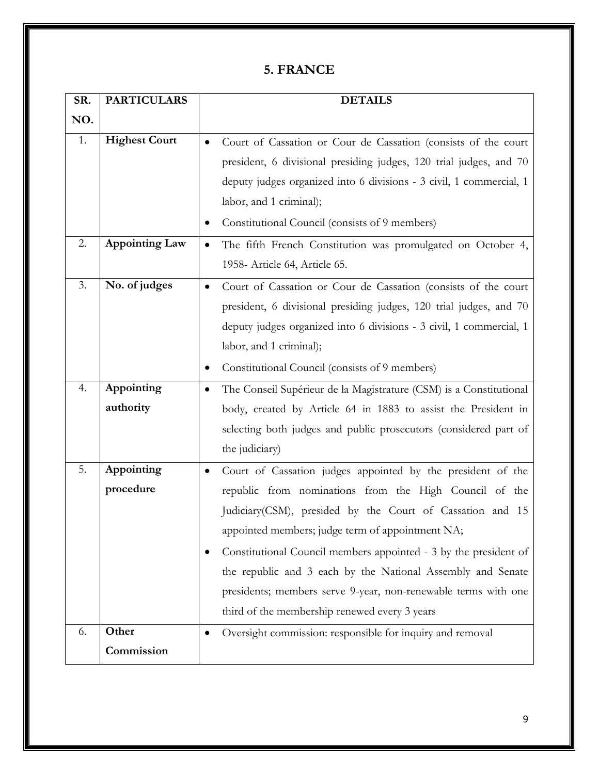#### **5. FRANCE**

| SR. | <b>PARTICULARS</b>    | <b>DETAILS</b>                                                              |
|-----|-----------------------|-----------------------------------------------------------------------------|
| NO. |                       |                                                                             |
| 1.  | <b>Highest Court</b>  | Court of Cassation or Cour de Cassation (consists of the court<br>$\bullet$ |
|     |                       | president, 6 divisional presiding judges, 120 trial judges, and 70          |
|     |                       | deputy judges organized into 6 divisions - 3 civil, 1 commercial, 1         |
|     |                       | labor, and 1 criminal);                                                     |
|     |                       | Constitutional Council (consists of 9 members)<br>٠                         |
| 2.  | <b>Appointing Law</b> | The fifth French Constitution was promulgated on October 4,<br>٠            |
|     |                       | 1958- Article 64, Article 65.                                               |
| 3.  | No. of judges         | Court of Cassation or Cour de Cassation (consists of the court              |
|     |                       | president, 6 divisional presiding judges, 120 trial judges, and 70          |
|     |                       | deputy judges organized into 6 divisions - 3 civil, 1 commercial, 1         |
|     |                       | labor, and 1 criminal);                                                     |
|     |                       | Constitutional Council (consists of 9 members)<br>$\bullet$                 |
| 4.  | Appointing            | The Conseil Supérieur de la Magistrature (CSM) is a Constitutional          |
|     | authority             | body, created by Article 64 in 1883 to assist the President in              |
|     |                       | selecting both judges and public prosecutors (considered part of            |
|     |                       | the judiciary)                                                              |
| 5.  | Appointing            | Court of Cassation judges appointed by the president of the<br>٠            |
|     | procedure             | republic from nominations from the High Council of the                      |
|     |                       | Judiciary (CSM), presided by the Court of Cassation and 15                  |
|     |                       | appointed members; judge term of appointment NA;                            |
|     |                       | Constitutional Council members appointed - 3 by the president of            |
|     |                       | the republic and 3 each by the National Assembly and Senate                 |
|     |                       | presidents; members serve 9-year, non-renewable terms with one              |
|     |                       | third of the membership renewed every 3 years                               |
| 6.  | Other                 | Oversight commission: responsible for inquiry and removal<br>$\bullet$      |
|     | Commission            |                                                                             |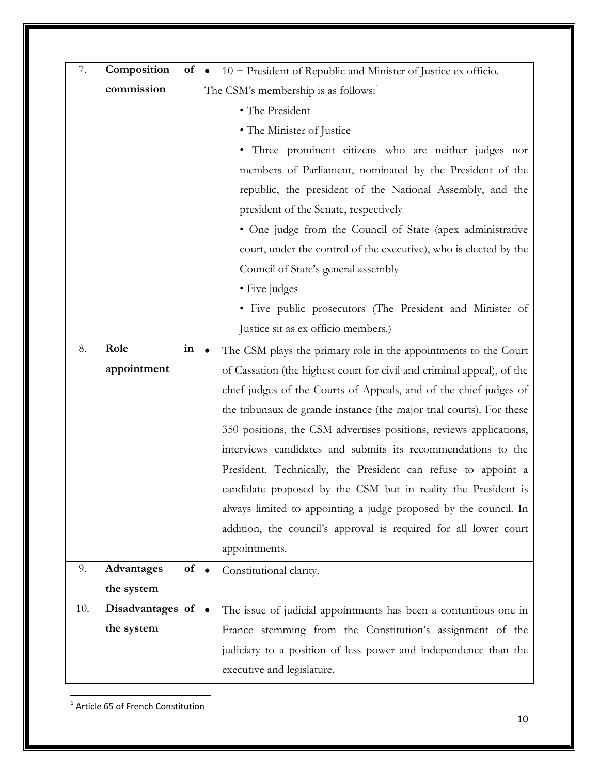| 7.  | Composition      | of | 10 + President of Republic and Minister of Justice ex officio.               |
|-----|------------------|----|------------------------------------------------------------------------------|
|     | commission       |    | The CSM's membership is as follows: <sup>1</sup>                             |
|     |                  |    | • The President                                                              |
|     |                  |    | • The Minister of Justice                                                    |
|     |                  |    | • Three prominent citizens who are neither judges nor                        |
|     |                  |    | members of Parliament, nominated by the President of the                     |
|     |                  |    | republic, the president of the National Assembly, and the                    |
|     |                  |    | president of the Senate, respectively                                        |
|     |                  |    | • One judge from the Council of State (apex administrative                   |
|     |                  |    | court, under the control of the executive), who is elected by the            |
|     |                  |    | Council of State's general assembly                                          |
|     |                  |    | • Five judges                                                                |
|     |                  |    | • Five public prosecutors (The President and Minister of                     |
|     |                  |    | Justice sit as ex officio members.)                                          |
| 8.  | Role             | in | The CSM plays the primary role in the appointments to the Court<br>$\bullet$ |
|     | appointment      |    | of Cassation (the highest court for civil and criminal appeal), of the       |
|     |                  |    | chief judges of the Courts of Appeals, and of the chief judges of            |
|     |                  |    | the tribunaux de grande instance (the major trial courts). For these         |
|     |                  |    | 350 positions, the CSM advertises positions, reviews applications,           |
|     |                  |    | interviews candidates and submits its recommendations to the                 |
|     |                  |    | President. Technically, the President can refuse to appoint a                |
|     |                  |    | candidate proposed by the CSM but in reality the President is                |
|     |                  |    | always limited to appointing a judge proposed by the council. In             |
|     |                  |    | addition, the council's approval is required for all lower court             |
|     |                  |    | appointments.                                                                |
| 9.  | Advantages       | of | Constitutional clarity.                                                      |
|     | the system       |    |                                                                              |
| 10. | Disadvantages of |    | The issue of judicial appointments has been a contentious one in             |
|     | the system       |    | France stemming from the Constitution's assignment of the                    |
|     |                  |    | judiciary to a position of less power and independence than the              |
|     |                  |    | executive and legislature.                                                   |

<u>.</u><br><sup>1</sup> Article 65 of French Constitution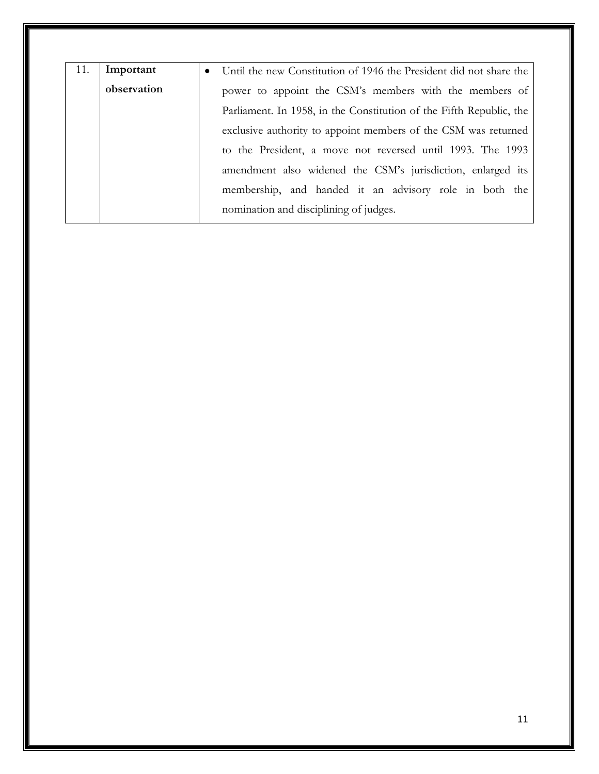| 11. | Important   | Until the new Constitution of 1946 the President did not share the<br>$\bullet$ |  |
|-----|-------------|---------------------------------------------------------------------------------|--|
|     | observation | power to appoint the CSM's members with the members of                          |  |
|     |             | Parliament. In 1958, in the Constitution of the Fifth Republic, the             |  |
|     |             | exclusive authority to appoint members of the CSM was returned                  |  |
|     |             | to the President, a move not reversed until 1993. The 1993                      |  |
|     |             | amendment also widened the CSM's jurisdiction, enlarged its                     |  |
|     |             | membership, and handed it an advisory role in both the                          |  |
|     |             | nomination and disciplining of judges.                                          |  |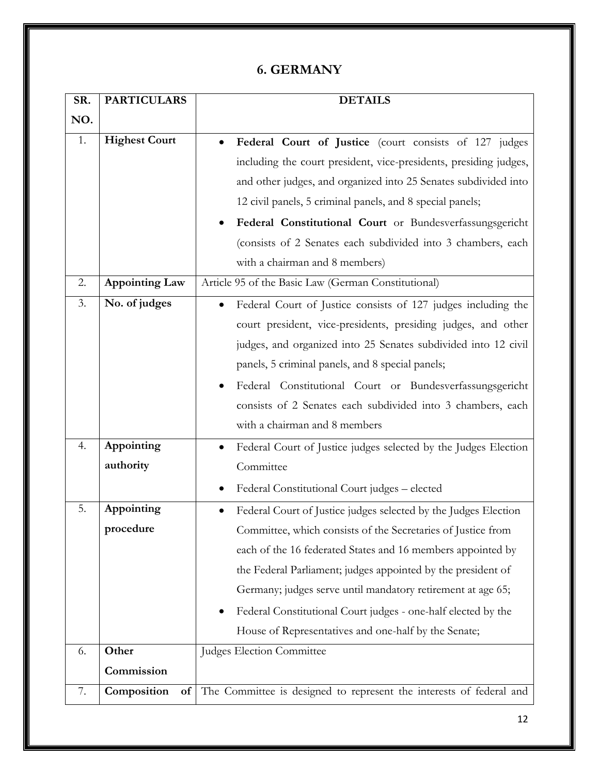### **6. GERMANY**

| SR. | <b>PARTICULARS</b>    | <b>DETAILS</b>                                                      |
|-----|-----------------------|---------------------------------------------------------------------|
| NO. |                       |                                                                     |
| 1.  | <b>Highest Court</b>  | Federal Court of Justice (court consists of 127 judges<br>$\bullet$ |
|     |                       | including the court president, vice-presidents, presiding judges,   |
|     |                       | and other judges, and organized into 25 Senates subdivided into     |
|     |                       | 12 civil panels, 5 criminal panels, and 8 special panels;           |
|     |                       | Federal Constitutional Court or Bundesverfassungsgericht            |
|     |                       | (consists of 2 Senates each subdivided into 3 chambers, each        |
|     |                       | with a chairman and 8 members)                                      |
| 2.  | <b>Appointing Law</b> | Article 95 of the Basic Law (German Constitutional)                 |
| 3.  | No. of judges         | Federal Court of Justice consists of 127 judges including the       |
|     |                       | court president, vice-presidents, presiding judges, and other       |
|     |                       | judges, and organized into 25 Senates subdivided into 12 civil      |
|     |                       | panels, 5 criminal panels, and 8 special panels;                    |
|     |                       | Federal Constitutional Court or Bundesverfassungsgericht            |
|     |                       | consists of 2 Senates each subdivided into 3 chambers, each         |
|     |                       | with a chairman and 8 members                                       |
| 4.  | Appointing            | Federal Court of Justice judges selected by the Judges Election     |
|     | authority             | Committee                                                           |
|     |                       | Federal Constitutional Court judges - elected                       |
| 5.  | Appointing            | Federal Court of Justice judges selected by the Judges Election     |
|     | procedure             | Committee, which consists of the Secretaries of Justice from        |
|     |                       | each of the 16 federated States and 16 members appointed by         |
|     |                       | the Federal Parliament; judges appointed by the president of        |
|     |                       | Germany; judges serve until mandatory retirement at age 65;         |
|     |                       | Federal Constitutional Court judges - one-half elected by the       |
|     |                       | House of Representatives and one-half by the Senate;                |
| 6.  | Other                 | <b>Judges Election Committee</b>                                    |
|     | Commission            |                                                                     |
| 7.  | Composition<br>of     | The Committee is designed to represent the interests of federal and |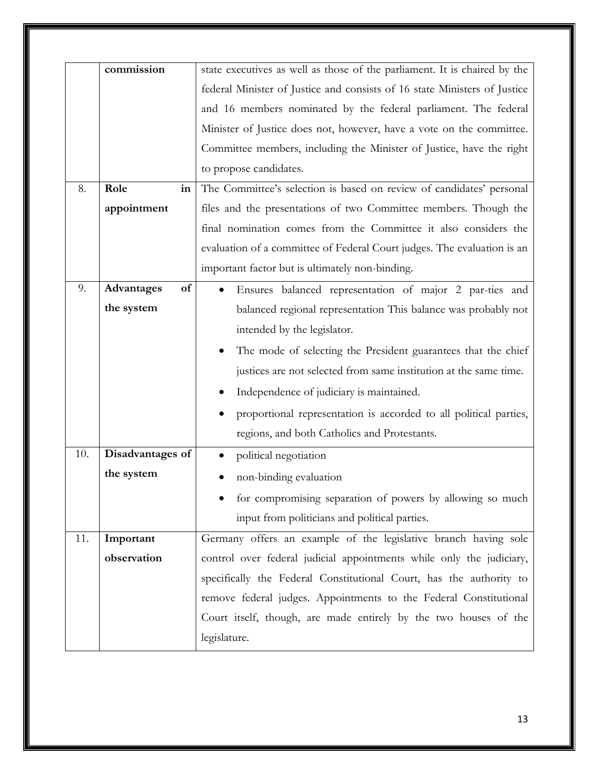|     | commission       |                                                                           |
|-----|------------------|---------------------------------------------------------------------------|
|     |                  | state executives as well as those of the parliament. It is chaired by the |
|     |                  | federal Minister of Justice and consists of 16 state Ministers of Justice |
|     |                  | and 16 members nominated by the federal parliament. The federal           |
|     |                  | Minister of Justice does not, however, have a vote on the committee.      |
|     |                  | Committee members, including the Minister of Justice, have the right      |
|     |                  | to propose candidates.                                                    |
| 8.  | Role<br>in       | The Committee's selection is based on review of candidates' personal      |
|     | appointment      | files and the presentations of two Committee members. Though the          |
|     |                  | final nomination comes from the Committee it also considers the           |
|     |                  | evaluation of a committee of Federal Court judges. The evaluation is an   |
|     |                  | important factor but is ultimately non-binding.                           |
| 9.  | Advantages<br>of | Ensures balanced representation of major 2 par-ties and<br>$\bullet$      |
|     | the system       | balanced regional representation This balance was probably not            |
|     |                  | intended by the legislator.                                               |
|     |                  | The mode of selecting the President guarantees that the chief             |
|     |                  | justices are not selected from same institution at the same time.         |
|     |                  | Independence of judiciary is maintained.                                  |
|     |                  | proportional representation is accorded to all political parties,         |
|     |                  | regions, and both Catholics and Protestants.                              |
| 10. | Disadvantages of | political negotiation                                                     |
|     | the system       | non-binding evaluation                                                    |
|     |                  | for compromising separation of powers by allowing so much                 |
|     |                  | input from politicians and political parties.                             |
| 11. | Important        | Germany offers an example of the legislative branch having sole           |
|     | observation      | control over federal judicial appointments while only the judiciary,      |
|     |                  | specifically the Federal Constitutional Court, has the authority to       |
|     |                  | remove federal judges. Appointments to the Federal Constitutional         |
|     |                  | Court itself, though, are made entirely by the two houses of the          |
|     |                  | legislature.                                                              |
|     |                  |                                                                           |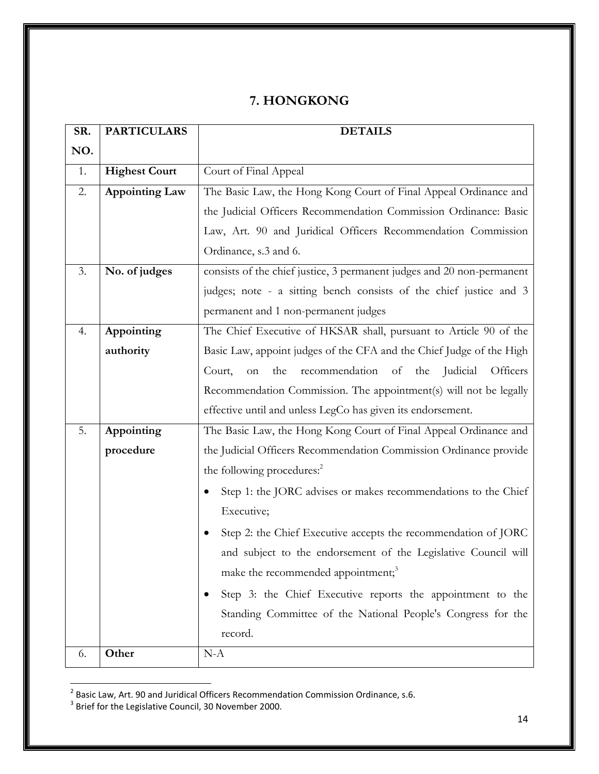#### **7. HONGKONG**

| SR. | <b>PARTICULARS</b>   | <b>DETAILS</b>                                                          |
|-----|----------------------|-------------------------------------------------------------------------|
| NO. |                      |                                                                         |
| 1.  | <b>Highest Court</b> | Court of Final Appeal                                                   |
| 2.  | Appointing Law       | The Basic Law, the Hong Kong Court of Final Appeal Ordinance and        |
|     |                      | the Judicial Officers Recommendation Commission Ordinance: Basic        |
|     |                      | Law, Art. 90 and Juridical Officers Recommendation Commission           |
|     |                      | Ordinance, s.3 and 6.                                                   |
| 3.  | No. of judges        | consists of the chief justice, 3 permanent judges and 20 non-permanent  |
|     |                      | judges; note - a sitting bench consists of the chief justice and 3      |
|     |                      | permanent and 1 non-permanent judges                                    |
| 4.  | Appointing           | The Chief Executive of HKSAR shall, pursuant to Article 90 of the       |
|     | authority            | Basic Law, appoint judges of the CFA and the Chief Judge of the High    |
|     |                      | recommendation of<br>the<br>the<br>Judicial<br>Officers<br>Court,<br>on |
|     |                      | Recommendation Commission. The appointment(s) will not be legally       |
|     |                      | effective until and unless LegCo has given its endorsement.             |
| 5.  | Appointing           | The Basic Law, the Hong Kong Court of Final Appeal Ordinance and        |
|     | procedure            | the Judicial Officers Recommendation Commission Ordinance provide       |
|     |                      | the following procedures: <sup>2</sup>                                  |
|     |                      | Step 1: the JORC advises or makes recommendations to the Chief          |
|     |                      | Executive;                                                              |
|     |                      | Step 2: the Chief Executive accepts the recommendation of JORC          |
|     |                      | and subject to the endorsement of the Legislative Council will          |
|     |                      | make the recommended appointment; <sup>3</sup>                          |
|     |                      | Step 3: the Chief Executive reports the appointment to the              |
|     |                      | Standing Committee of the National People's Congress for the            |
|     |                      | record.                                                                 |
| 6.  | Other                | $N-A$                                                                   |

<sup>2&</sup>lt;br><sup>2</sup> Basic Law, Art. 90 and Juridical Officers Recommendation Commission Ordinance, s.6.<br><sup>3</sup> Brief for the Legislative Council, 30 November 2000.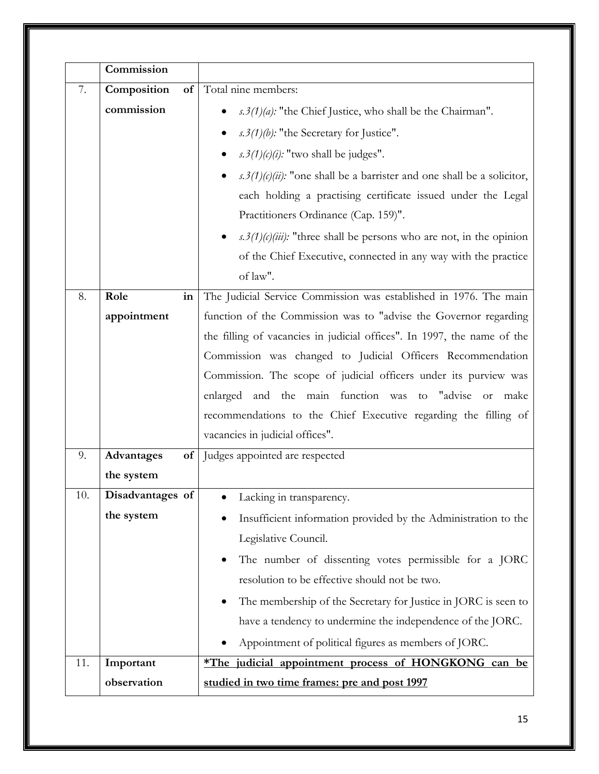|     | Commission                  |                                                                                        |
|-----|-----------------------------|----------------------------------------------------------------------------------------|
| 7.  | Composition<br>of           | Total nine members:                                                                    |
|     | commission                  | $s.3(1)(a)$ : "the Chief Justice, who shall be the Chairman".                          |
|     |                             | s.3(1)(b): "the Secretary for Justice".                                                |
|     |                             | s.3(1)(c)(i): "two shall be judges".                                                   |
|     |                             | $s.3(1)(c)(ii)$ : "one shall be a barrister and one shall be a solicitor,<br>$\bullet$ |
|     |                             | each holding a practising certificate issued under the Legal                           |
|     |                             | Practitioners Ordinance (Cap. 159)".                                                   |
|     |                             | s. 3(1)(c)(iii): "three shall be persons who are not, in the opinion                   |
|     |                             | of the Chief Executive, connected in any way with the practice                         |
|     |                             | of law".                                                                               |
| 8.  | Role<br>$\operatorname{in}$ | The Judicial Service Commission was established in 1976. The main                      |
|     | appointment                 | function of the Commission was to "advise the Governor regarding                       |
|     |                             | the filling of vacancies in judicial offices". In 1997, the name of the                |
|     |                             | Commission was changed to Judicial Officers Recommendation                             |
|     |                             | Commission. The scope of judicial officers under its purview was                       |
|     |                             | enlarged and the main function was to "advise<br>or make                               |
|     |                             | recommendations to the Chief Executive regarding the filling of                        |
|     |                             | vacancies in judicial offices".                                                        |
| 9.  | Advantages<br>of            | Judges appointed are respected                                                         |
|     | the system                  |                                                                                        |
| 10. | Disadvantages of            | Lacking in transparency.                                                               |
|     | the system                  | Insufficient information provided by the Administration to the                         |
|     |                             | Legislative Council.                                                                   |
|     |                             | The number of dissenting votes permissible for a JORC                                  |
|     |                             | resolution to be effective should not be two.                                          |
|     |                             | The membership of the Secretary for Justice in JORC is seen to                         |
|     |                             | have a tendency to undermine the independence of the JORC.                             |
|     |                             | Appointment of political figures as members of JORC.                                   |
| 11. | Important                   | *The judicial appointment process of HONGKONG can be                                   |
|     | observation                 | studied in two time frames: pre and post 1997                                          |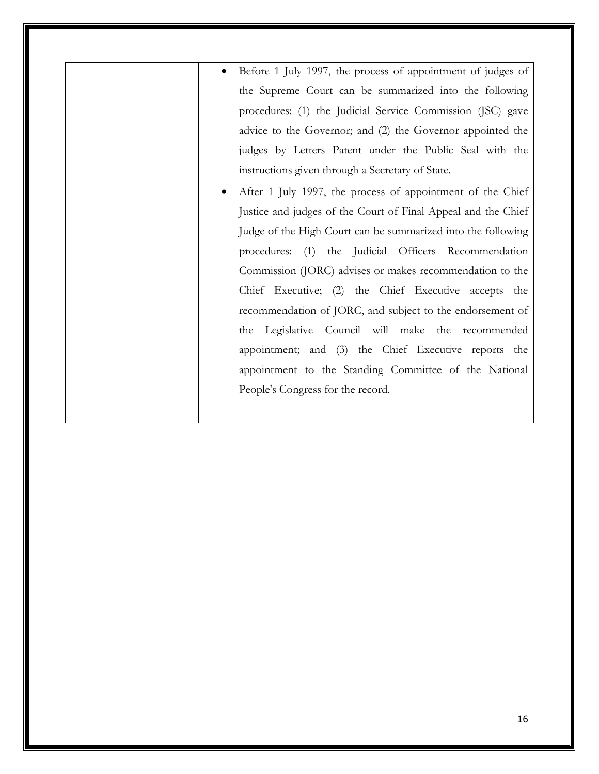- Before 1 July 1997, the process of appointment of judges of the Supreme Court can be summarized into the following procedures: (1) the Judicial Service Commission (JSC) gave advice to the Governor; and (2) the Governor appointed the judges by Letters Patent under the Public Seal with the instructions given through a Secretary of State.
- After 1 July 1997, the process of appointment of the Chief Justice and judges of the Court of Final Appeal and the Chief Judge of the High Court can be summarized into the following procedures: (1) the Judicial Officers Recommendation Commission (JORC) advises or makes recommendation to the Chief Executive; (2) the Chief Executive accepts the recommendation of JORC, and subject to the endorsement of the Legislative Council will make the recommended appointment; and (3) the Chief Executive reports the appointment to the Standing Committee of the National People's Congress for the record.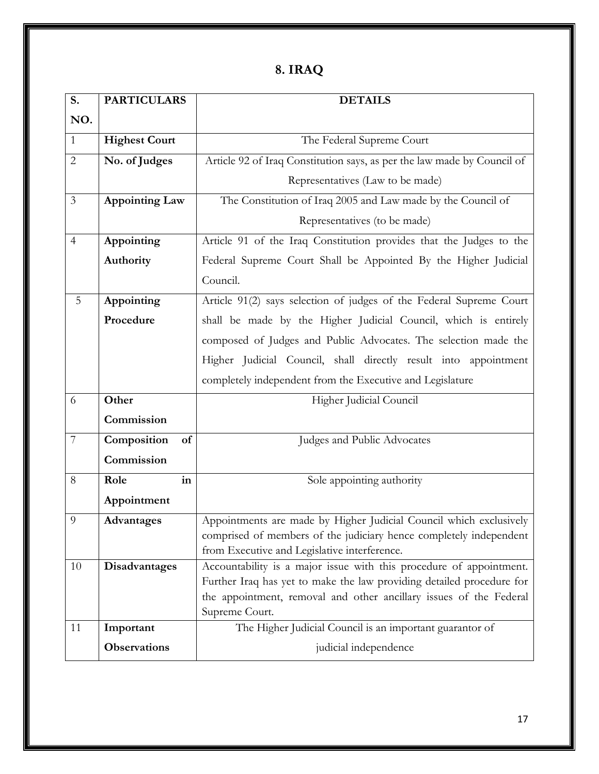| о. | <b>IRA</b> |  |
|----|------------|--|
|----|------------|--|

| S.             | <b>PARTICULARS</b>    | <b>DETAILS</b>                                                                                                      |
|----------------|-----------------------|---------------------------------------------------------------------------------------------------------------------|
| NO.            |                       |                                                                                                                     |
| $\mathbf{1}$   | <b>Highest Court</b>  | The Federal Supreme Court                                                                                           |
| $\overline{2}$ | No. of Judges         | Article 92 of Iraq Constitution says, as per the law made by Council of                                             |
|                |                       | Representatives (Law to be made)                                                                                    |
| $\mathfrak{Z}$ | <b>Appointing Law</b> | The Constitution of Iraq 2005 and Law made by the Council of                                                        |
|                |                       | Representatives (to be made)                                                                                        |
| $\overline{4}$ | Appointing            | Article 91 of the Iraq Constitution provides that the Judges to the                                                 |
|                | Authority             | Federal Supreme Court Shall be Appointed By the Higher Judicial                                                     |
|                |                       | Council.                                                                                                            |
| 5              | Appointing            | Article 91(2) says selection of judges of the Federal Supreme Court                                                 |
|                | Procedure             | shall be made by the Higher Judicial Council, which is entirely                                                     |
|                |                       | composed of Judges and Public Advocates. The selection made the                                                     |
|                |                       | Higher Judicial Council, shall directly result into appointment                                                     |
|                |                       | completely independent from the Executive and Legislature                                                           |
| 6              | Other                 | Higher Judicial Council                                                                                             |
|                | Commission            |                                                                                                                     |
| $\overline{7}$ | Composition<br>of     | Judges and Public Advocates                                                                                         |
|                | Commission            |                                                                                                                     |
| 8              | Role<br>in            | Sole appointing authority                                                                                           |
|                | Appointment           |                                                                                                                     |
| 9              | <b>Advantages</b>     | Appointments are made by Higher Judicial Council which exclusively                                                  |
|                |                       | comprised of members of the judiciary hence completely independent                                                  |
| 10             | Disadvantages         | from Executive and Legislative interference.<br>Accountability is a major issue with this procedure of appointment. |
|                |                       | Further Iraq has yet to make the law providing detailed procedure for                                               |
|                |                       | the appointment, removal and other ancillary issues of the Federal                                                  |
|                |                       | Supreme Court.                                                                                                      |
| 11             | Important             | The Higher Judicial Council is an important guarantor of                                                            |
|                | <b>Observations</b>   | judicial independence                                                                                               |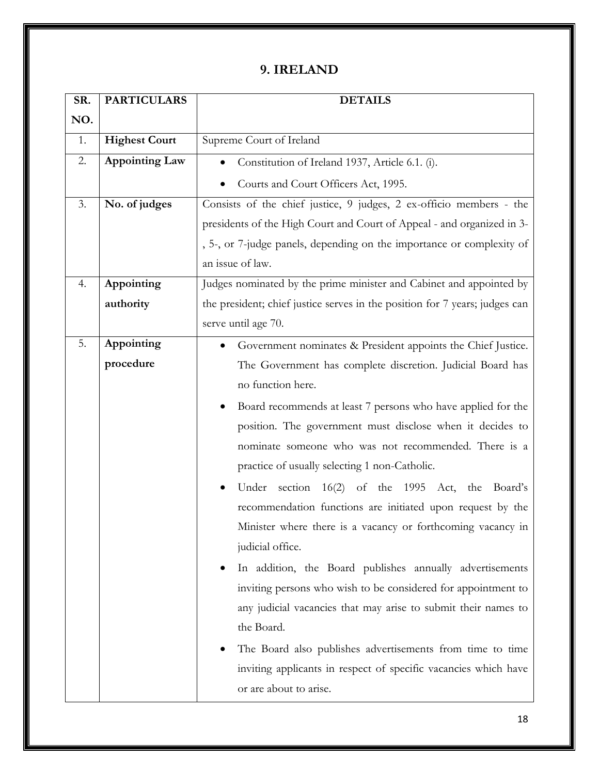#### **9. IRELAND**

| SR. | <b>PARTICULARS</b>    | <b>DETAILS</b>                                                              |
|-----|-----------------------|-----------------------------------------------------------------------------|
| NO. |                       |                                                                             |
| 1.  | <b>Highest Court</b>  | Supreme Court of Ireland                                                    |
| 2.  | <b>Appointing Law</b> | Constitution of Ireland 1937, Article 6.1. (i).                             |
|     |                       | Courts and Court Officers Act, 1995.                                        |
| 3.  | No. of judges         | Consists of the chief justice, 9 judges, 2 ex-officio members - the         |
|     |                       | presidents of the High Court and Court of Appeal - and organized in 3-      |
|     |                       | , 5-, or 7-judge panels, depending on the importance or complexity of       |
|     |                       | an issue of law.                                                            |
| 4.  | Appointing            | Judges nominated by the prime minister and Cabinet and appointed by         |
|     | authority             | the president; chief justice serves in the position for 7 years; judges can |
|     |                       | serve until age 70.                                                         |
| 5.  | Appointing            | Government nominates & President appoints the Chief Justice.                |
|     | procedure             | The Government has complete discretion. Judicial Board has                  |
|     |                       | no function here.                                                           |
|     |                       | Board recommends at least 7 persons who have applied for the                |
|     |                       | position. The government must disclose when it decides to                   |
|     |                       | nominate someone who was not recommended. There is a                        |
|     |                       | practice of usually selecting 1 non-Catholic.                               |
|     |                       | Under section 16(2) of the 1995 Act, the Board's                            |
|     |                       | recommendation functions are initiated upon request by the                  |
|     |                       | Minister where there is a vacancy or forthcoming vacancy in                 |
|     |                       | judicial office.                                                            |
|     |                       | In addition, the Board publishes annually advertisements                    |
|     |                       | inviting persons who wish to be considered for appointment to               |
|     |                       | any judicial vacancies that may arise to submit their names to              |
|     |                       | the Board.                                                                  |
|     |                       | The Board also publishes advertisements from time to time                   |
|     |                       | inviting applicants in respect of specific vacancies which have             |
|     |                       | or are about to arise.                                                      |
|     |                       |                                                                             |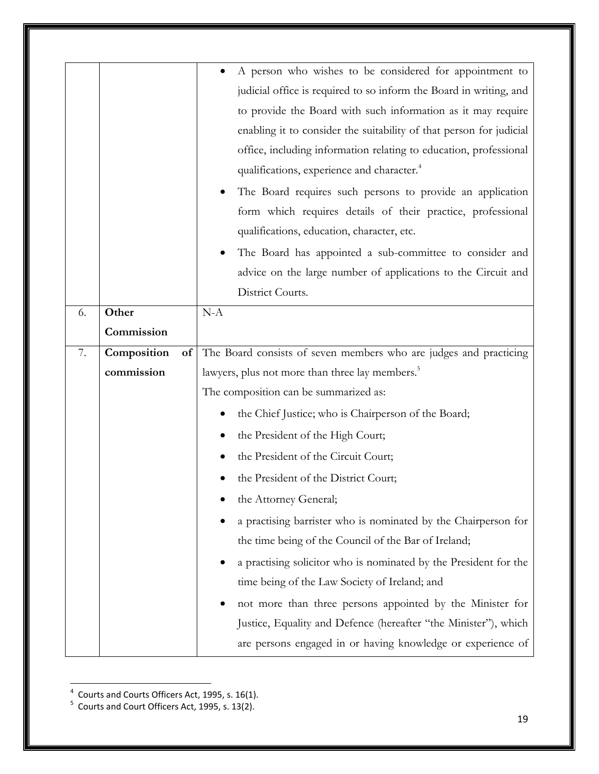| A person who wishes to be considered for appointment to<br>judicial office is required to so inform the Board in writing, and<br>to provide the Board with such information as it may require<br>enabling it to consider the suitability of that person for judicial<br>office, including information relating to education, professional<br>qualifications, experience and character. <sup>4</sup><br>The Board requires such persons to provide an application<br>form which requires details of their practice, professional<br>qualifications, education, character, etc.<br>The Board has appointed a sub-committee to consider and<br>advice on the large number of applications to the Circuit and<br>District Courts.<br>Other<br>$N-A$<br>6.<br>Commission<br>The Board consists of seven members who are judges and practicing<br>Composition<br>7.<br>of<br>commission<br>lawyers, plus not more than three lay members. <sup>5</sup><br>The composition can be summarized as:<br>the Chief Justice; who is Chairperson of the Board;<br>the President of the High Court;<br>the President of the Circuit Court;<br>the President of the District Court;<br>the Attorney General;<br>a practising barrister who is nominated by the Chairperson for<br>the time being of the Council of the Bar of Ireland;<br>a practising solicitor who is nominated by the President for the<br>time being of the Law Society of Ireland; and<br>not more than three persons appointed by the Minister for<br>Justice, Equality and Defence (hereafter "the Minister"), which |  |                                                             |
|-----------------------------------------------------------------------------------------------------------------------------------------------------------------------------------------------------------------------------------------------------------------------------------------------------------------------------------------------------------------------------------------------------------------------------------------------------------------------------------------------------------------------------------------------------------------------------------------------------------------------------------------------------------------------------------------------------------------------------------------------------------------------------------------------------------------------------------------------------------------------------------------------------------------------------------------------------------------------------------------------------------------------------------------------------------------------------------------------------------------------------------------------------------------------------------------------------------------------------------------------------------------------------------------------------------------------------------------------------------------------------------------------------------------------------------------------------------------------------------------------------------------------------------------------------------------------------|--|-------------------------------------------------------------|
|                                                                                                                                                                                                                                                                                                                                                                                                                                                                                                                                                                                                                                                                                                                                                                                                                                                                                                                                                                                                                                                                                                                                                                                                                                                                                                                                                                                                                                                                                                                                                                             |  |                                                             |
|                                                                                                                                                                                                                                                                                                                                                                                                                                                                                                                                                                                                                                                                                                                                                                                                                                                                                                                                                                                                                                                                                                                                                                                                                                                                                                                                                                                                                                                                                                                                                                             |  |                                                             |
|                                                                                                                                                                                                                                                                                                                                                                                                                                                                                                                                                                                                                                                                                                                                                                                                                                                                                                                                                                                                                                                                                                                                                                                                                                                                                                                                                                                                                                                                                                                                                                             |  |                                                             |
|                                                                                                                                                                                                                                                                                                                                                                                                                                                                                                                                                                                                                                                                                                                                                                                                                                                                                                                                                                                                                                                                                                                                                                                                                                                                                                                                                                                                                                                                                                                                                                             |  |                                                             |
|                                                                                                                                                                                                                                                                                                                                                                                                                                                                                                                                                                                                                                                                                                                                                                                                                                                                                                                                                                                                                                                                                                                                                                                                                                                                                                                                                                                                                                                                                                                                                                             |  |                                                             |
|                                                                                                                                                                                                                                                                                                                                                                                                                                                                                                                                                                                                                                                                                                                                                                                                                                                                                                                                                                                                                                                                                                                                                                                                                                                                                                                                                                                                                                                                                                                                                                             |  |                                                             |
|                                                                                                                                                                                                                                                                                                                                                                                                                                                                                                                                                                                                                                                                                                                                                                                                                                                                                                                                                                                                                                                                                                                                                                                                                                                                                                                                                                                                                                                                                                                                                                             |  |                                                             |
|                                                                                                                                                                                                                                                                                                                                                                                                                                                                                                                                                                                                                                                                                                                                                                                                                                                                                                                                                                                                                                                                                                                                                                                                                                                                                                                                                                                                                                                                                                                                                                             |  |                                                             |
|                                                                                                                                                                                                                                                                                                                                                                                                                                                                                                                                                                                                                                                                                                                                                                                                                                                                                                                                                                                                                                                                                                                                                                                                                                                                                                                                                                                                                                                                                                                                                                             |  |                                                             |
|                                                                                                                                                                                                                                                                                                                                                                                                                                                                                                                                                                                                                                                                                                                                                                                                                                                                                                                                                                                                                                                                                                                                                                                                                                                                                                                                                                                                                                                                                                                                                                             |  |                                                             |
|                                                                                                                                                                                                                                                                                                                                                                                                                                                                                                                                                                                                                                                                                                                                                                                                                                                                                                                                                                                                                                                                                                                                                                                                                                                                                                                                                                                                                                                                                                                                                                             |  |                                                             |
|                                                                                                                                                                                                                                                                                                                                                                                                                                                                                                                                                                                                                                                                                                                                                                                                                                                                                                                                                                                                                                                                                                                                                                                                                                                                                                                                                                                                                                                                                                                                                                             |  |                                                             |
|                                                                                                                                                                                                                                                                                                                                                                                                                                                                                                                                                                                                                                                                                                                                                                                                                                                                                                                                                                                                                                                                                                                                                                                                                                                                                                                                                                                                                                                                                                                                                                             |  |                                                             |
|                                                                                                                                                                                                                                                                                                                                                                                                                                                                                                                                                                                                                                                                                                                                                                                                                                                                                                                                                                                                                                                                                                                                                                                                                                                                                                                                                                                                                                                                                                                                                                             |  |                                                             |
|                                                                                                                                                                                                                                                                                                                                                                                                                                                                                                                                                                                                                                                                                                                                                                                                                                                                                                                                                                                                                                                                                                                                                                                                                                                                                                                                                                                                                                                                                                                                                                             |  |                                                             |
|                                                                                                                                                                                                                                                                                                                                                                                                                                                                                                                                                                                                                                                                                                                                                                                                                                                                                                                                                                                                                                                                                                                                                                                                                                                                                                                                                                                                                                                                                                                                                                             |  |                                                             |
|                                                                                                                                                                                                                                                                                                                                                                                                                                                                                                                                                                                                                                                                                                                                                                                                                                                                                                                                                                                                                                                                                                                                                                                                                                                                                                                                                                                                                                                                                                                                                                             |  |                                                             |
|                                                                                                                                                                                                                                                                                                                                                                                                                                                                                                                                                                                                                                                                                                                                                                                                                                                                                                                                                                                                                                                                                                                                                                                                                                                                                                                                                                                                                                                                                                                                                                             |  |                                                             |
|                                                                                                                                                                                                                                                                                                                                                                                                                                                                                                                                                                                                                                                                                                                                                                                                                                                                                                                                                                                                                                                                                                                                                                                                                                                                                                                                                                                                                                                                                                                                                                             |  |                                                             |
|                                                                                                                                                                                                                                                                                                                                                                                                                                                                                                                                                                                                                                                                                                                                                                                                                                                                                                                                                                                                                                                                                                                                                                                                                                                                                                                                                                                                                                                                                                                                                                             |  |                                                             |
|                                                                                                                                                                                                                                                                                                                                                                                                                                                                                                                                                                                                                                                                                                                                                                                                                                                                                                                                                                                                                                                                                                                                                                                                                                                                                                                                                                                                                                                                                                                                                                             |  |                                                             |
|                                                                                                                                                                                                                                                                                                                                                                                                                                                                                                                                                                                                                                                                                                                                                                                                                                                                                                                                                                                                                                                                                                                                                                                                                                                                                                                                                                                                                                                                                                                                                                             |  |                                                             |
|                                                                                                                                                                                                                                                                                                                                                                                                                                                                                                                                                                                                                                                                                                                                                                                                                                                                                                                                                                                                                                                                                                                                                                                                                                                                                                                                                                                                                                                                                                                                                                             |  |                                                             |
|                                                                                                                                                                                                                                                                                                                                                                                                                                                                                                                                                                                                                                                                                                                                                                                                                                                                                                                                                                                                                                                                                                                                                                                                                                                                                                                                                                                                                                                                                                                                                                             |  |                                                             |
|                                                                                                                                                                                                                                                                                                                                                                                                                                                                                                                                                                                                                                                                                                                                                                                                                                                                                                                                                                                                                                                                                                                                                                                                                                                                                                                                                                                                                                                                                                                                                                             |  |                                                             |
|                                                                                                                                                                                                                                                                                                                                                                                                                                                                                                                                                                                                                                                                                                                                                                                                                                                                                                                                                                                                                                                                                                                                                                                                                                                                                                                                                                                                                                                                                                                                                                             |  |                                                             |
|                                                                                                                                                                                                                                                                                                                                                                                                                                                                                                                                                                                                                                                                                                                                                                                                                                                                                                                                                                                                                                                                                                                                                                                                                                                                                                                                                                                                                                                                                                                                                                             |  |                                                             |
|                                                                                                                                                                                                                                                                                                                                                                                                                                                                                                                                                                                                                                                                                                                                                                                                                                                                                                                                                                                                                                                                                                                                                                                                                                                                                                                                                                                                                                                                                                                                                                             |  |                                                             |
|                                                                                                                                                                                                                                                                                                                                                                                                                                                                                                                                                                                                                                                                                                                                                                                                                                                                                                                                                                                                                                                                                                                                                                                                                                                                                                                                                                                                                                                                                                                                                                             |  | are persons engaged in or having knowledge or experience of |

 4 Courts and Courts Officers Act, 1995, s. 16(1). 5 Courts and Court Officers Act, 1995, s. 13(2).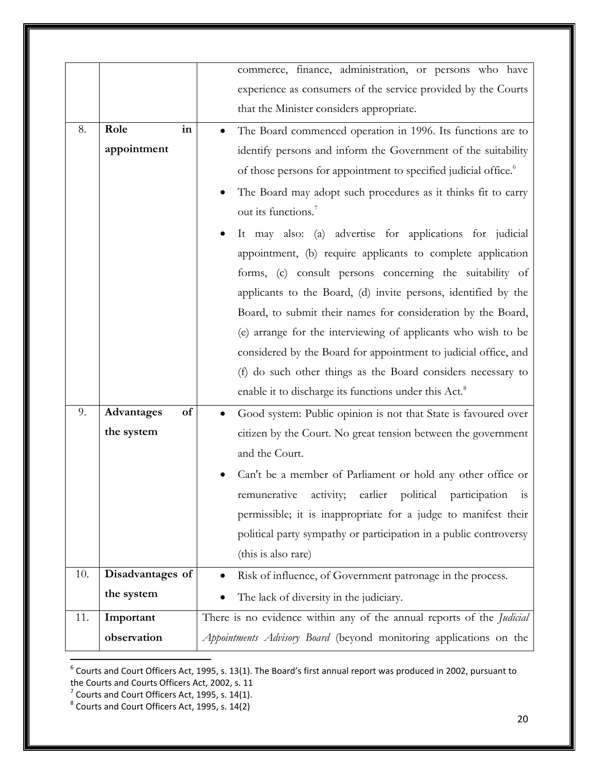|     |                  | commerce, finance, administration, or persons who have                       |
|-----|------------------|------------------------------------------------------------------------------|
|     |                  |                                                                              |
|     |                  | experience as consumers of the service provided by the Courts                |
|     |                  | that the Minister considers appropriate.                                     |
| 8.  | Role<br>in       | The Board commenced operation in 1996. Its functions are to                  |
|     | appointment      | identify persons and inform the Government of the suitability                |
|     |                  | of those persons for appointment to specified judicial office. <sup>6</sup>  |
|     |                  | The Board may adopt such procedures as it thinks fit to carry                |
|     |                  | out its functions. <sup>7</sup>                                              |
|     |                  | It may also: (a) advertise for applications for judicial<br>٠                |
|     |                  | appointment, (b) require applicants to complete application                  |
|     |                  | forms, (c) consult persons concerning the suitability of                     |
|     |                  | applicants to the Board, (d) invite persons, identified by the               |
|     |                  | Board, to submit their names for consideration by the Board,                 |
|     |                  | (e) arrange for the interviewing of applicants who wish to be                |
|     |                  | considered by the Board for appointment to judicial office, and              |
|     |                  | (f) do such other things as the Board considers necessary to                 |
|     |                  | enable it to discharge its functions under this Act. <sup>8</sup>            |
| 9.  | Advantages<br>of | Good system: Public opinion is not that State is favoured over               |
|     | the system       | citizen by the Court. No great tension between the government                |
|     |                  | and the Court.                                                               |
|     |                  | Can't be a member of Parliament or hold any other office or                  |
|     |                  | earlier political participation<br>activity;<br>remunerative<br>1S           |
|     |                  | permissible; it is inappropriate for a judge to manifest their               |
|     |                  | political party sympathy or participation in a public controversy            |
|     |                  | (this is also rare)                                                          |
| 10. | Disadvantages of | Risk of influence, of Government patronage in the process.                   |
|     | the system       | The lack of diversity in the judiciary.                                      |
| 11. | Important        | There is no evidence within any of the annual reports of the <i>Judicial</i> |
|     | observation      | Appointments Advisory Board (beyond monitoring applications on the           |
|     |                  |                                                                              |

 6 Courts and Court Officers Act, 1995, s. 13(1). The Board's first annual report was produced in 2002, pursuant to

the Courts and Courts Officers Act, 2002, s. 11<br><sup>7</sup> Courts and Court Officers Act, 1995, s. 14(1).<br><sup>8</sup> Courts and Court Officers Act, 1995, s. 14(2)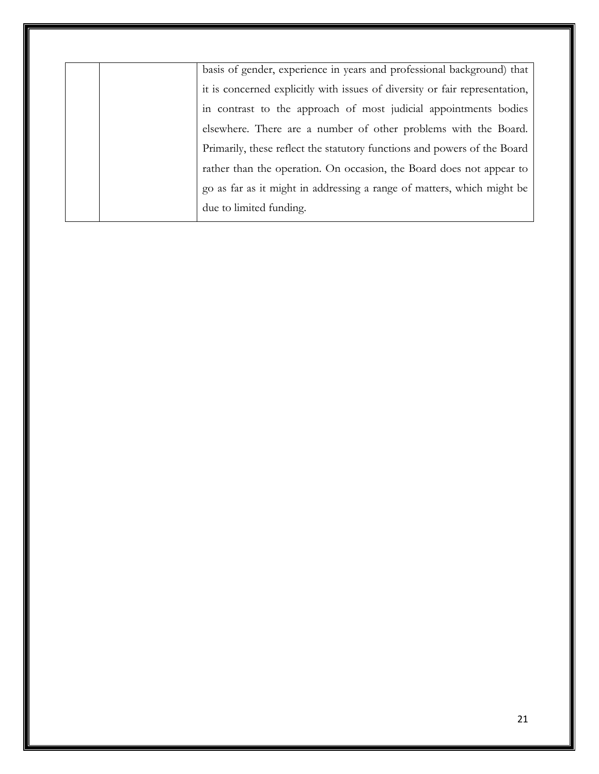basis of gender, experience in years and professional background) that it is concerned explicitly with issues of diversity or fair representation, in contrast to the approach of most judicial appointments bodies elsewhere. There are a number of other problems with the Board. Primarily, these reflect the statutory functions and powers of the Board rather than the operation. On occasion, the Board does not appear to go as far as it might in addressing a range of matters, which might be due to limited funding.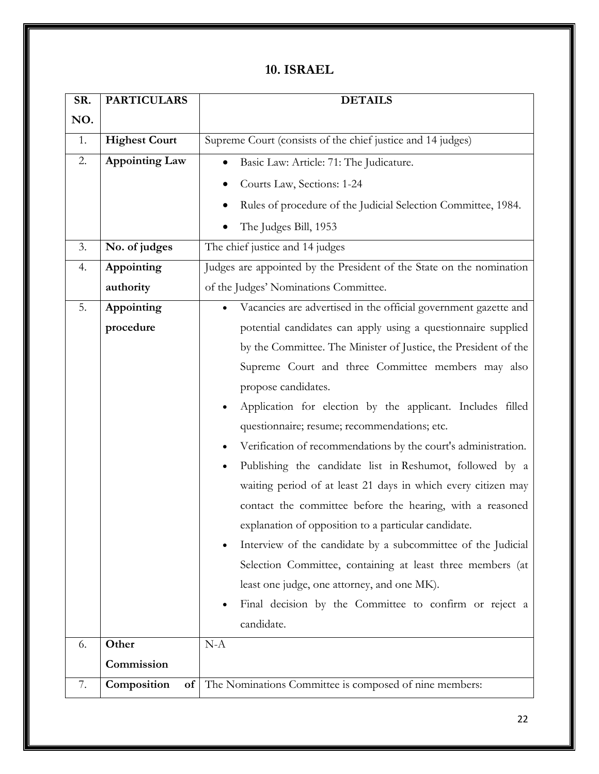#### **10. ISRAEL**

| SR. | <b>PARTICULARS</b>    | <b>DETAILS</b>                                                       |
|-----|-----------------------|----------------------------------------------------------------------|
| NO. |                       |                                                                      |
| 1.  | <b>Highest Court</b>  | Supreme Court (consists of the chief justice and 14 judges)          |
| 2.  | <b>Appointing Law</b> | Basic Law: Article: 71: The Judicature.                              |
|     |                       | Courts Law, Sections: 1-24                                           |
|     |                       | Rules of procedure of the Judicial Selection Committee, 1984.        |
|     |                       | The Judges Bill, 1953                                                |
| 3.  | No. of judges         | The chief justice and 14 judges                                      |
| 4.  | Appointing            | Judges are appointed by the President of the State on the nomination |
|     | authority             | of the Judges' Nominations Committee.                                |
| 5.  | Appointing            | Vacancies are advertised in the official government gazette and      |
|     | procedure             | potential candidates can apply using a questionnaire supplied        |
|     |                       | by the Committee. The Minister of Justice, the President of the      |
|     |                       | Supreme Court and three Committee members may also                   |
|     |                       | propose candidates.                                                  |
|     |                       | Application for election by the applicant. Includes filled           |
|     |                       | questionnaire; resume; recommendations; etc.                         |
|     |                       | Verification of recommendations by the court's administration.       |
|     |                       | Publishing the candidate list in Reshumot, followed by a             |
|     |                       | waiting period of at least 21 days in which every citizen may        |
|     |                       | contact the committee before the hearing, with a reasoned            |
|     |                       | explanation of opposition to a particular candidate.                 |
|     |                       | Interview of the candidate by a subcommittee of the Judicial         |
|     |                       | Selection Committee, containing at least three members (at           |
|     |                       | least one judge, one attorney, and one MK).                          |
|     |                       | Final decision by the Committee to confirm or reject a               |
|     |                       | candidate.                                                           |
| 6.  | Other                 | $N-A$                                                                |
|     | Commission            |                                                                      |
| 7.  | Composition<br>of     | The Nominations Committee is composed of nine members:               |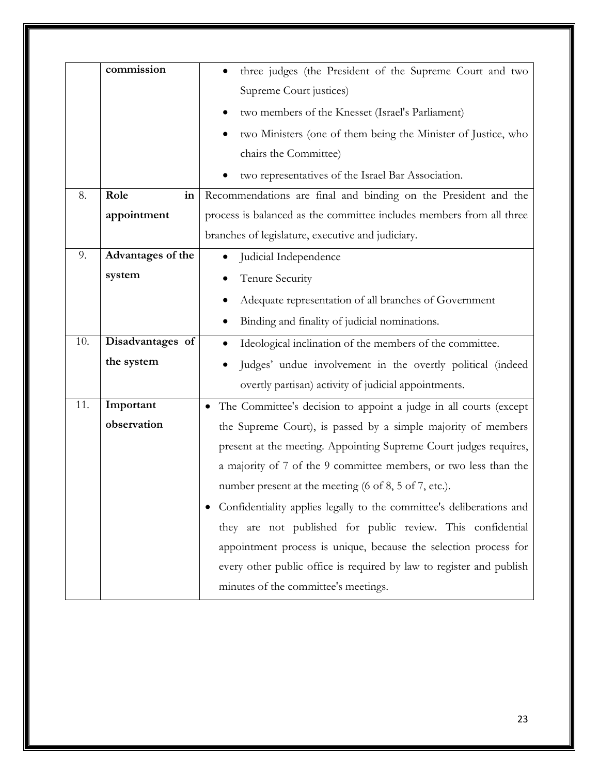|     | commission        | three judges (the President of the Supreme Court and two             |
|-----|-------------------|----------------------------------------------------------------------|
|     |                   | Supreme Court justices)                                              |
|     |                   | two members of the Knesset (Israel's Parliament)                     |
|     |                   | two Ministers (one of them being the Minister of Justice, who        |
|     |                   | chairs the Committee)                                                |
|     |                   | two representatives of the Israel Bar Association.                   |
| 8.  | Role<br>in        | Recommendations are final and binding on the President and the       |
|     | appointment       | process is balanced as the committee includes members from all three |
|     |                   | branches of legislature, executive and judiciary.                    |
| 9.  | Advantages of the | Judicial Independence                                                |
|     | system            | Tenure Security                                                      |
|     |                   | Adequate representation of all branches of Government                |
|     |                   | Binding and finality of judicial nominations.                        |
| 10. | Disadvantages of  | Ideological inclination of the members of the committee.             |
|     | the system        | Judges' undue involvement in the overtly political (indeed           |
|     |                   | overtly partisan) activity of judicial appointments.                 |
| 11. | Important         | • The Committee's decision to appoint a judge in all courts (except  |
|     | observation       | the Supreme Court), is passed by a simple majority of members        |
|     |                   | present at the meeting. Appointing Supreme Court judges requires,    |
|     |                   | a majority of 7 of the 9 committee members, or two less than the     |
|     |                   | number present at the meeting (6 of 8, 5 of 7, etc.).                |
|     |                   | Confidentiality applies legally to the committee's deliberations and |
|     |                   | they are not published for public review. This confidential          |
|     |                   | appointment process is unique, because the selection process for     |
|     |                   | every other public office is required by law to register and publish |
|     |                   | minutes of the committee's meetings.                                 |
|     |                   |                                                                      |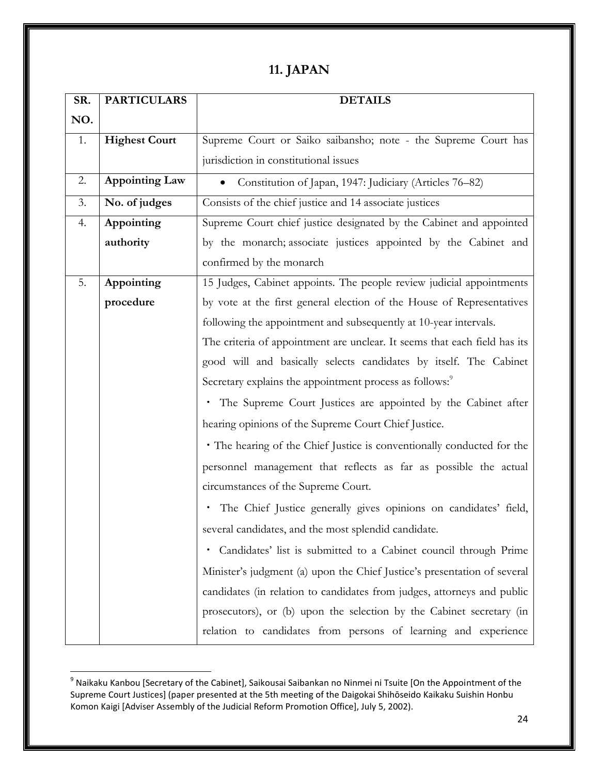## **11. JAPAN**

| SR. | <b>PARTICULARS</b>    | <b>DETAILS</b>                                                            |  |
|-----|-----------------------|---------------------------------------------------------------------------|--|
| NO. |                       |                                                                           |  |
| 1.  | <b>Highest Court</b>  | Supreme Court or Saiko saibansho; note - the Supreme Court has            |  |
|     |                       | jurisdiction in constitutional issues                                     |  |
| 2.  | <b>Appointing Law</b> | • Constitution of Japan, 1947: Judiciary (Articles 76–82)                 |  |
| 3.  | No. of judges         | Consists of the chief justice and 14 associate justices                   |  |
| 4.  | Appointing            | Supreme Court chief justice designated by the Cabinet and appointed       |  |
|     | authority             | by the monarch; associate justices appointed by the Cabinet and           |  |
|     |                       | confirmed by the monarch                                                  |  |
| 5.  | Appointing            | 15 Judges, Cabinet appoints. The people review judicial appointments      |  |
|     | procedure             | by vote at the first general election of the House of Representatives     |  |
|     |                       | following the appointment and subsequently at 10-year intervals.          |  |
|     |                       | The criteria of appointment are unclear. It seems that each field has its |  |
|     |                       | good will and basically selects candidates by itself. The Cabinet         |  |
|     |                       | Secretary explains the appointment process as follows: <sup>9</sup>       |  |
|     |                       | • The Supreme Court Justices are appointed by the Cabinet after           |  |
|     |                       | hearing opinions of the Supreme Court Chief Justice.                      |  |
|     |                       | · The hearing of the Chief Justice is conventionally conducted for the    |  |
|     |                       | personnel management that reflects as far as possible the actual          |  |
|     |                       | circumstances of the Supreme Court.                                       |  |
|     |                       | The Chief Justice generally gives opinions on candidates' field,          |  |
|     |                       | several candidates, and the most splendid candidate.                      |  |
|     |                       | Candidates' list is submitted to a Cabinet council through Prime<br>٠     |  |
|     |                       | Minister's judgment (a) upon the Chief Justice's presentation of several  |  |
|     |                       | candidates (in relation to candidates from judges, attorneys and public   |  |
|     |                       | prosecutors), or (b) upon the selection by the Cabinet secretary (in      |  |
|     |                       | relation to candidates from persons of learning and experience            |  |

 9 Naikaku Kanbou [Secretary of the Cabinet], Saikousai Saibankan no Ninmei ni Tsuite [On the Appointment of the Supreme Court Justices] (paper presented at the 5th meeting of the Daigokai Shihōseido Kaikaku Suishin Honbu Komon Kaigi [Adviser Assembly of the Judicial Reform Promotion Office], July 5, 2002).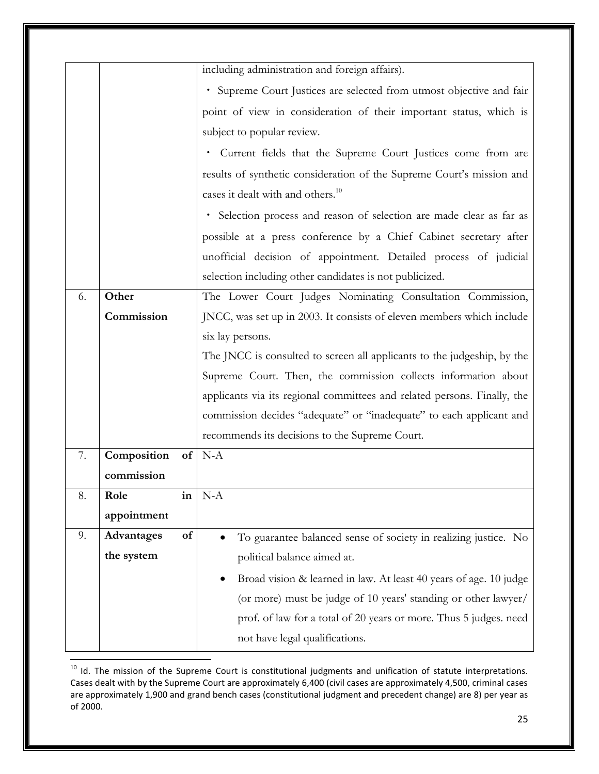|    |             |    | including administration and foreign affairs).                           |
|----|-------------|----|--------------------------------------------------------------------------|
|    |             |    | · Supreme Court Justices are selected from utmost objective and fair     |
|    |             |    | point of view in consideration of their important status, which is       |
|    |             |    | subject to popular review.                                               |
|    |             |    | · Current fields that the Supreme Court Justices come from are           |
|    |             |    | results of synthetic consideration of the Supreme Court's mission and    |
|    |             |    | cases it dealt with and others. <sup>10</sup>                            |
|    |             |    | · Selection process and reason of selection are made clear as far as     |
|    |             |    | possible at a press conference by a Chief Cabinet secretary after        |
|    |             |    | unofficial decision of appointment. Detailed process of judicial         |
|    |             |    | selection including other candidates is not publicized.                  |
| 6. | Other       |    | The Lower Court Judges Nominating Consultation Commission,               |
|    | Commission  |    | JNCC, was set up in 2003. It consists of eleven members which include    |
|    |             |    | six lay persons.                                                         |
|    |             |    | The JNCC is consulted to screen all applicants to the judgeship, by the  |
|    |             |    | Supreme Court. Then, the commission collects information about           |
|    |             |    | applicants via its regional committees and related persons. Finally, the |
|    |             |    | commission decides "adequate" or "inadequate" to each applicant and      |
|    |             |    | recommends its decisions to the Supreme Court.                           |
| 7. | Composition | of | $N-A$                                                                    |
|    | commission  |    |                                                                          |
| 8. | Role        | in | $N-A$                                                                    |
|    | appointment |    |                                                                          |
| 9. | Advantages  | of | To guarantee balanced sense of society in realizing justice. No          |
|    | the system  |    | political balance aimed at.                                              |
|    |             |    | Broad vision & learned in law. At least 40 years of age. 10 judge        |
|    |             |    | (or more) must be judge of 10 years' standing or other lawyer/           |
|    |             |    | prof. of law for a total of 20 years or more. Thus 5 judges. need        |
|    |             |    | not have legal qualifications.                                           |

<sup>&</sup>lt;sup>10</sup> Id. The mission of the Supreme Court is constitutional judgments and unification of statute interpretations. Cases dealt with by the Supreme Court are approximately 6,400 (civil cases are approximately 4,500, criminal cases are approximately 1,900 and grand bench cases (constitutional judgment and precedent change) are 8) per year as of 2000.

l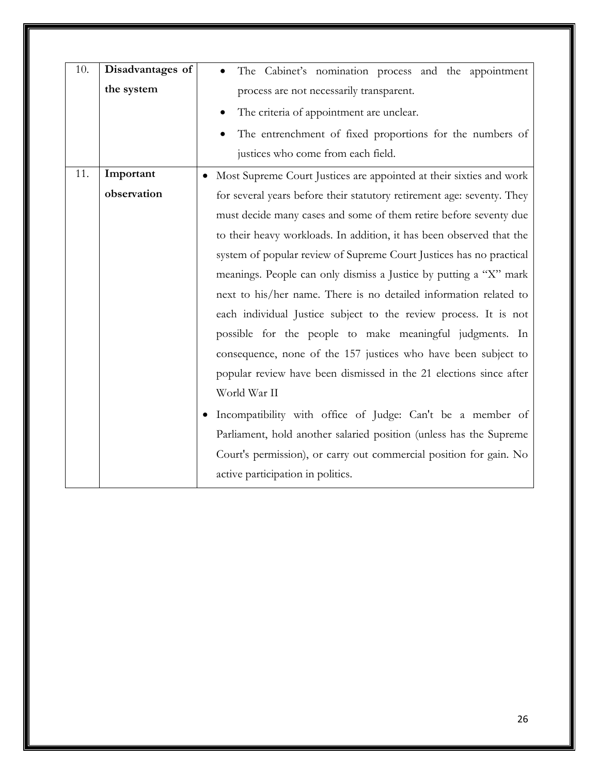| 10. | Disadvantages of | The Cabinet's nomination process and the appointment                   |
|-----|------------------|------------------------------------------------------------------------|
|     | the system       | process are not necessarily transparent.                               |
|     |                  | The criteria of appointment are unclear.                               |
|     |                  | The entrenchment of fixed proportions for the numbers of               |
|     |                  | justices who come from each field.                                     |
| 11. | Important        | Most Supreme Court Justices are appointed at their sixties and work    |
|     | observation      | for several years before their statutory retirement age: seventy. They |
|     |                  | must decide many cases and some of them retire before seventy due      |
|     |                  | to their heavy workloads. In addition, it has been observed that the   |
|     |                  | system of popular review of Supreme Court Justices has no practical    |
|     |                  | meanings. People can only dismiss a Justice by putting a "X" mark      |
|     |                  | next to his/her name. There is no detailed information related to      |
|     |                  | each individual Justice subject to the review process. It is not       |
|     |                  | possible for the people to make meaningful judgments. In               |
|     |                  | consequence, none of the 157 justices who have been subject to         |
|     |                  | popular review have been dismissed in the 21 elections since after     |
|     |                  | World War II                                                           |
|     |                  | Incompatibility with office of Judge: Can't be a member of             |
|     |                  | Parliament, hold another salaried position (unless has the Supreme     |
|     |                  | Court's permission), or carry out commercial position for gain. No     |
|     |                  | active participation in politics.                                      |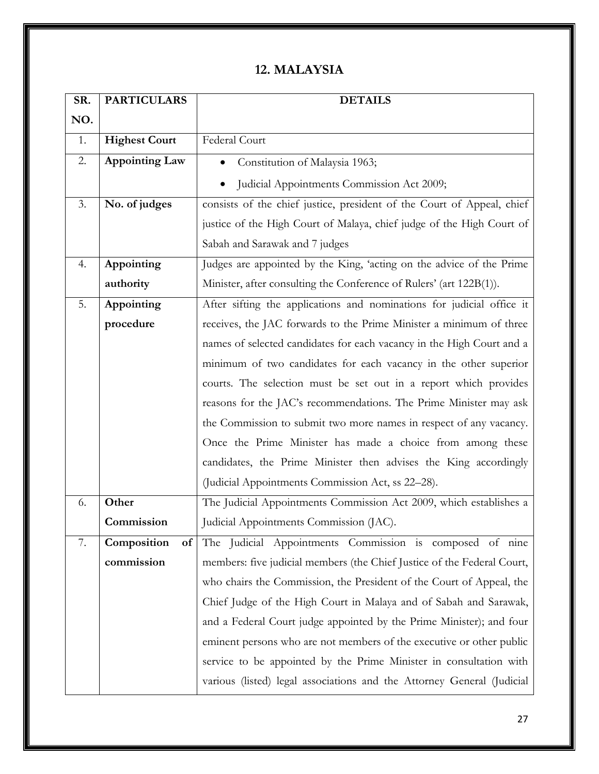## **12. MALAYSIA**

| SR. | <b>PARTICULARS</b>    | <b>DETAILS</b>                                                          |
|-----|-----------------------|-------------------------------------------------------------------------|
| NO. |                       |                                                                         |
| 1.  | <b>Highest Court</b>  | Federal Court                                                           |
| 2.  | <b>Appointing Law</b> | Constitution of Malaysia 1963;                                          |
|     |                       | Judicial Appointments Commission Act 2009;                              |
| 3.  | No. of judges         | consists of the chief justice, president of the Court of Appeal, chief  |
|     |                       | justice of the High Court of Malaya, chief judge of the High Court of   |
|     |                       | Sabah and Sarawak and 7 judges                                          |
| 4.  | Appointing            | Judges are appointed by the King, 'acting on the advice of the Prime    |
|     | authority             | Minister, after consulting the Conference of Rulers' (art 122B(1)).     |
| 5.  | Appointing            | After sifting the applications and nominations for judicial office it   |
|     | procedure             | receives, the JAC forwards to the Prime Minister a minimum of three     |
|     |                       | names of selected candidates for each vacancy in the High Court and a   |
|     |                       | minimum of two candidates for each vacancy in the other superior        |
|     |                       | courts. The selection must be set out in a report which provides        |
|     |                       | reasons for the JAC's recommendations. The Prime Minister may ask       |
|     |                       | the Commission to submit two more names in respect of any vacancy.      |
|     |                       | Once the Prime Minister has made a choice from among these              |
|     |                       | candidates, the Prime Minister then advises the King accordingly        |
|     |                       | (Judicial Appointments Commission Act, ss 22-28).                       |
| 6.  | Other                 | The Judicial Appointments Commission Act 2009, which establishes a      |
|     | Commission            | Judicial Appointments Commission (JAC).                                 |
| 7.  | Composition<br>of     | The Judicial Appointments Commission is composed of nine                |
|     | commission            | members: five judicial members (the Chief Justice of the Federal Court, |
|     |                       | who chairs the Commission, the President of the Court of Appeal, the    |
|     |                       | Chief Judge of the High Court in Malaya and of Sabah and Sarawak,       |
|     |                       | and a Federal Court judge appointed by the Prime Minister); and four    |
|     |                       | eminent persons who are not members of the executive or other public    |
|     |                       | service to be appointed by the Prime Minister in consultation with      |
|     |                       | various (listed) legal associations and the Attorney General (Judicial  |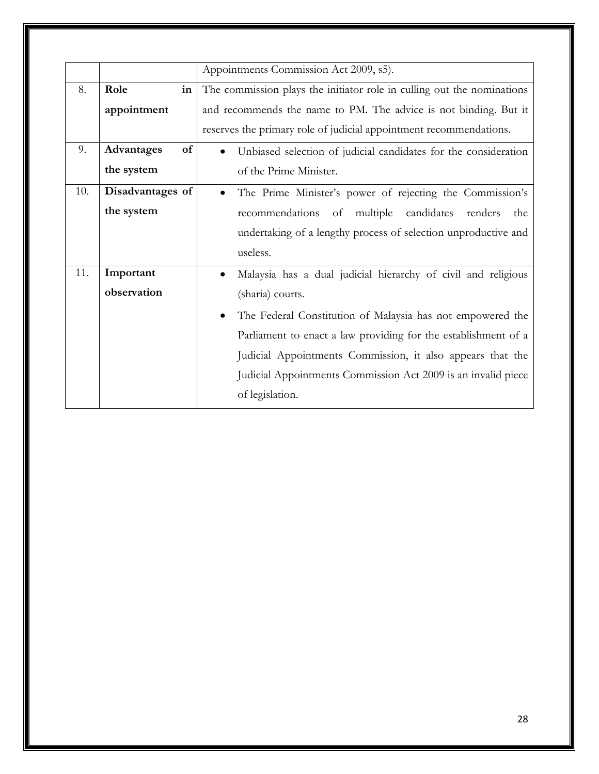|     |                  | Appointments Commission Act 2009, s5).                                 |
|-----|------------------|------------------------------------------------------------------------|
| 8.  | Role<br>in       | The commission plays the initiator role in culling out the nominations |
|     | appointment      | and recommends the name to PM. The advice is not binding. But it       |
|     |                  | reserves the primary role of judicial appointment recommendations.     |
| 9.  | of<br>Advantages | Unbiased selection of judicial candidates for the consideration        |
|     | the system       | of the Prime Minister.                                                 |
| 10. | Disadvantages of | The Prime Minister's power of rejecting the Commission's               |
|     | the system       | recommendations of multiple<br>candidates<br>renders<br>the            |
|     |                  | undertaking of a lengthy process of selection unproductive and         |
|     |                  | useless.                                                               |
| 11. | Important        | Malaysia has a dual judicial hierarchy of civil and religious          |
|     | observation      | (sharia) courts.                                                       |
|     |                  | The Federal Constitution of Malaysia has not empowered the             |
|     |                  | Parliament to enact a law providing for the establishment of a         |
|     |                  | Judicial Appointments Commission, it also appears that the             |
|     |                  | Judicial Appointments Commission Act 2009 is an invalid piece          |
|     |                  | of legislation.                                                        |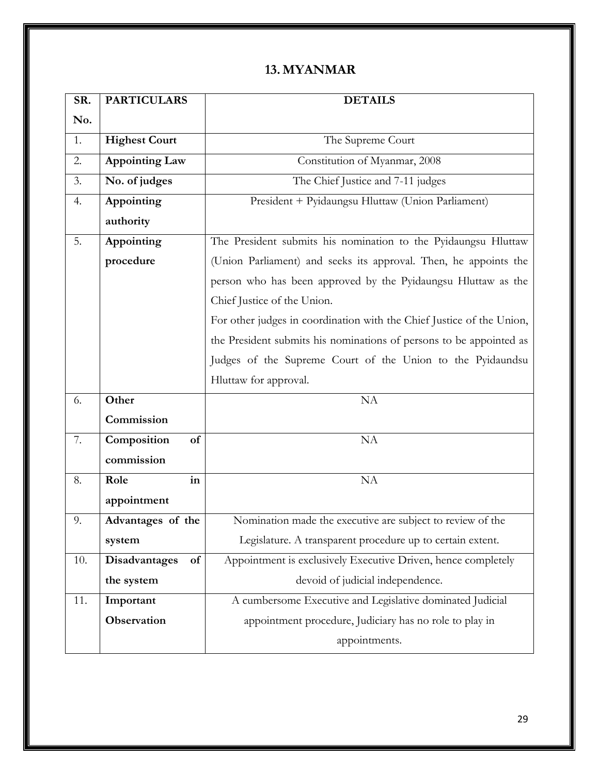#### **13. MYANMAR**

| SR. | <b>PARTICULARS</b>    | <b>DETAILS</b>                                                        |
|-----|-----------------------|-----------------------------------------------------------------------|
| No. |                       |                                                                       |
| 1.  | <b>Highest Court</b>  | The Supreme Court                                                     |
| 2.  | <b>Appointing Law</b> | Constitution of Myanmar, 2008                                         |
| 3.  | No. of judges         | The Chief Justice and 7-11 judges                                     |
| 4.  | Appointing            | President + Pyidaungsu Hluttaw (Union Parliament)                     |
|     | authority             |                                                                       |
| 5.  | Appointing            | The President submits his nomination to the Pyidaungsu Hluttaw        |
|     | procedure             | (Union Parliament) and seeks its approval. Then, he appoints the      |
|     |                       | person who has been approved by the Pyidaungsu Hluttaw as the         |
|     |                       | Chief Justice of the Union.                                           |
|     |                       | For other judges in coordination with the Chief Justice of the Union, |
|     |                       | the President submits his nominations of persons to be appointed as   |
|     |                       | Judges of the Supreme Court of the Union to the Pyidaundsu            |
|     |                       | Hluttaw for approval.                                                 |
| 6.  | Other                 | NA                                                                    |
|     | Commission            |                                                                       |
| 7.  | Composition<br>of     | NA                                                                    |
|     | commission            |                                                                       |
| 8.  | in<br>Role            | NA                                                                    |
|     | appointment           |                                                                       |
| 9.  | Advantages of the     | Nomination made the executive are subject to review of the            |
|     | system                | Legislature. A transparent procedure up to certain extent.            |
| 10. | Disadvantages<br>of   | Appointment is exclusively Executive Driven, hence completely         |
|     | the system            | devoid of judicial independence.                                      |
| 11. | Important             | A cumbersome Executive and Legislative dominated Judicial             |
|     | Observation           | appointment procedure, Judiciary has no role to play in               |
|     |                       | appointments.                                                         |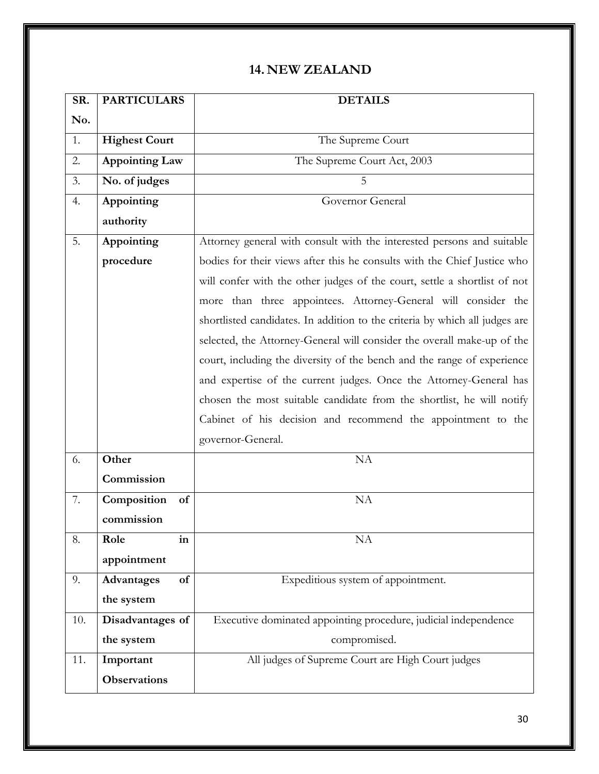#### **14. NEW ZEALAND**

| SR. | <b>PARTICULARS</b>    | <b>DETAILS</b>                                                              |
|-----|-----------------------|-----------------------------------------------------------------------------|
| No. |                       |                                                                             |
| 1.  | <b>Highest Court</b>  | The Supreme Court                                                           |
| 2.  | <b>Appointing Law</b> | The Supreme Court Act, 2003                                                 |
| 3.  | No. of judges         | .5                                                                          |
| 4.  | Appointing            | Governor General                                                            |
|     | authority             |                                                                             |
| 5.  | Appointing            | Attorney general with consult with the interested persons and suitable      |
|     | procedure             | bodies for their views after this he consults with the Chief Justice who    |
|     |                       | will confer with the other judges of the court, settle a shortlist of not   |
|     |                       | more than three appointees. Attorney-General will consider the              |
|     |                       | shortlisted candidates. In addition to the criteria by which all judges are |
|     |                       | selected, the Attorney-General will consider the overall make-up of the     |
|     |                       | court, including the diversity of the bench and the range of experience     |
|     |                       | and expertise of the current judges. Once the Attorney-General has          |
|     |                       | chosen the most suitable candidate from the shortlist, he will notify       |
|     |                       | Cabinet of his decision and recommend the appointment to the                |
|     |                       | governor-General.                                                           |
| 6.  | Other                 | <b>NA</b>                                                                   |
|     | Commission            |                                                                             |
| 7.  | Composition<br>of     | NA                                                                          |
|     | commission            |                                                                             |
| 8.  | Role<br>in            | <b>NA</b>                                                                   |
|     | appointment           |                                                                             |
| 9.  | Advantages<br>of      | Expeditious system of appointment.                                          |
|     | the system            |                                                                             |
| 10. | Disadvantages of      | Executive dominated appointing procedure, judicial independence             |
|     | the system            | compromised.                                                                |
| 11. | Important             | All judges of Supreme Court are High Court judges                           |
|     | <b>Observations</b>   |                                                                             |
|     |                       |                                                                             |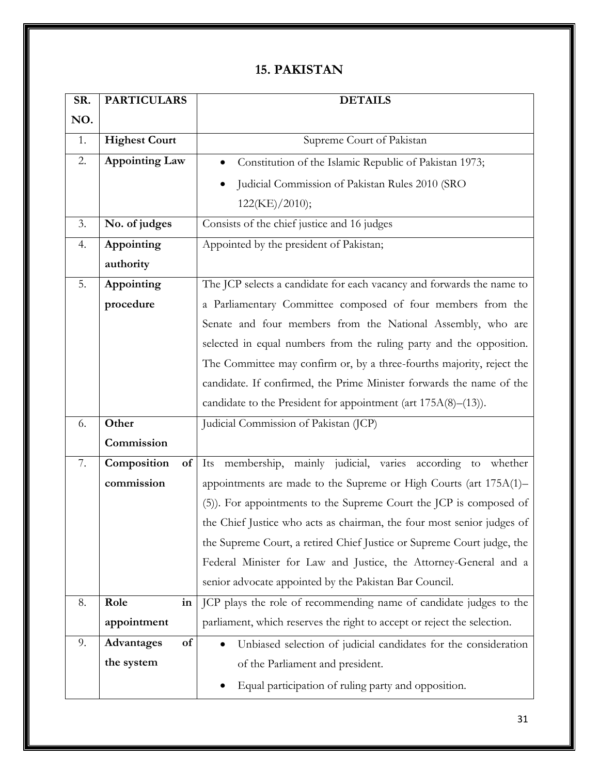#### **15. PAKISTAN**

| SR. | <b>PARTICULARS</b>    | <b>DETAILS</b>                                                          |
|-----|-----------------------|-------------------------------------------------------------------------|
| NO. |                       |                                                                         |
| 1.  | <b>Highest Court</b>  | Supreme Court of Pakistan                                               |
| 2.  | <b>Appointing Law</b> | Constitution of the Islamic Republic of Pakistan 1973;                  |
|     |                       | Judicial Commission of Pakistan Rules 2010 (SRO                         |
|     |                       | 122(KE)/2010);                                                          |
| 3.  | No. of judges         | Consists of the chief justice and 16 judges                             |
| 4.  | Appointing            | Appointed by the president of Pakistan;                                 |
|     | authority             |                                                                         |
| 5.  | Appointing            | The JCP selects a candidate for each vacancy and forwards the name to   |
|     | procedure             | a Parliamentary Committee composed of four members from the             |
|     |                       | Senate and four members from the National Assembly, who are             |
|     |                       | selected in equal numbers from the ruling party and the opposition.     |
|     |                       | The Committee may confirm or, by a three-fourths majority, reject the   |
|     |                       | candidate. If confirmed, the Prime Minister forwards the name of the    |
|     |                       | candidate to the President for appointment (art $175A(8)$ – $(13)$ ).   |
| 6.  | Other                 | Judicial Commission of Pakistan (JCP)                                   |
|     | Commission            |                                                                         |
| 7.  | Composition<br>of     | Its membership, mainly judicial, varies according to whether            |
|     | commission            | appointments are made to the Supreme or High Courts (art 175A(1)-       |
|     |                       | (5)). For appointments to the Supreme Court the JCP is composed of      |
|     |                       | the Chief Justice who acts as chairman, the four most senior judges of  |
|     |                       | the Supreme Court, a retired Chief Justice or Supreme Court judge, the  |
|     |                       | Federal Minister for Law and Justice, the Attorney-General and a        |
|     |                       | senior advocate appointed by the Pakistan Bar Council.                  |
| 8.  | Role<br>in            | JCP plays the role of recommending name of candidate judges to the      |
|     | appointment           | parliament, which reserves the right to accept or reject the selection. |
| 9.  | of<br>Advantages      | Unbiased selection of judicial candidates for the consideration         |
|     | the system            | of the Parliament and president.                                        |
|     |                       | Equal participation of ruling party and opposition.                     |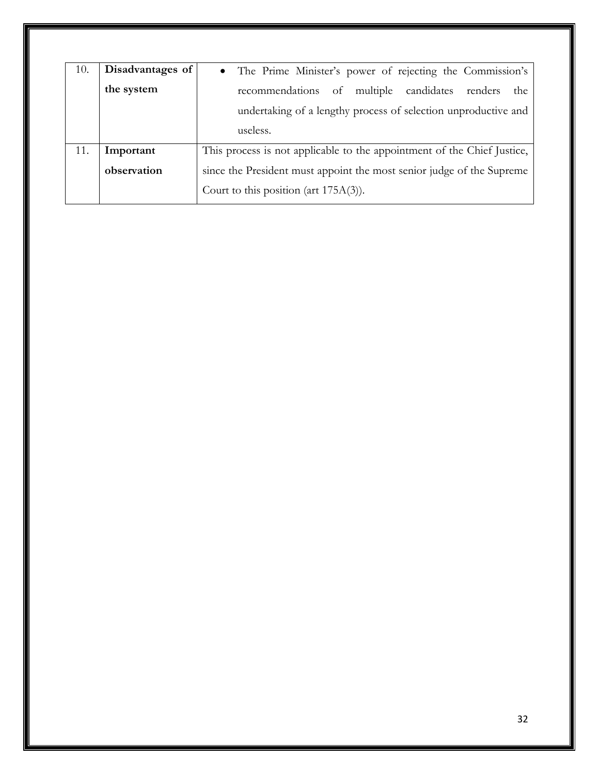| 10. | Disadvantages of | • The Prime Minister's power of rejecting the Commission's              |
|-----|------------------|-------------------------------------------------------------------------|
|     | the system       | recommendations of multiple candidates renders<br>the                   |
|     |                  | undertaking of a lengthy process of selection unproductive and          |
|     |                  | useless.                                                                |
| 11. | Important        | This process is not applicable to the appointment of the Chief Justice, |
|     | observation      | since the President must appoint the most senior judge of the Supreme   |
|     |                  | Court to this position (art $175A(3)$ ).                                |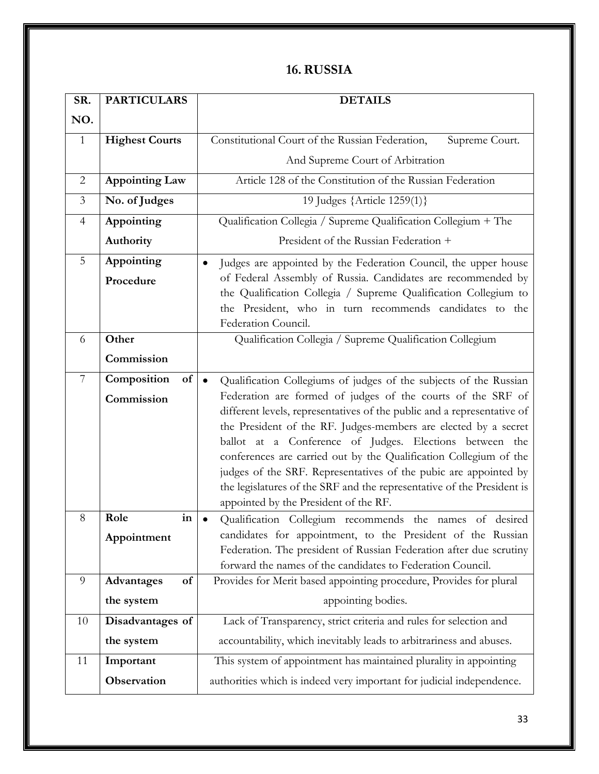### **16.RUSSIA**

| SR.            | <b>PARTICULARS</b>    | <b>DETAILS</b>                                                                                                                             |
|----------------|-----------------------|--------------------------------------------------------------------------------------------------------------------------------------------|
| NO.            |                       |                                                                                                                                            |
| 1              | <b>Highest Courts</b> | Constitutional Court of the Russian Federation,<br>Supreme Court.                                                                          |
|                |                       | And Supreme Court of Arbitration                                                                                                           |
| $\overline{2}$ | <b>Appointing Law</b> | Article 128 of the Constitution of the Russian Federation                                                                                  |
| $\mathfrak{Z}$ | No. of Judges         | 19 Judges {Article 1259(1)}                                                                                                                |
| 4              | Appointing            | Qualification Collegia / Supreme Qualification Collegium + The                                                                             |
|                | Authority             | President of the Russian Federation +                                                                                                      |
| 5              | Appointing            | Judges are appointed by the Federation Council, the upper house<br>$\bullet$                                                               |
|                | Procedure             | of Federal Assembly of Russia. Candidates are recommended by                                                                               |
|                |                       | the Qualification Collegia / Supreme Qualification Collegium to                                                                            |
|                |                       | the President, who in turn recommends candidates to the<br>Federation Council.                                                             |
| 6              | Other                 | Qualification Collegia / Supreme Qualification Collegium                                                                                   |
|                | Commission            |                                                                                                                                            |
|                |                       |                                                                                                                                            |
| 7              | Composition<br>of     | Qualification Collegiums of judges of the subjects of the Russian<br>$\bullet$                                                             |
|                | Commission            | Federation are formed of judges of the courts of the SRF of                                                                                |
|                |                       | different levels, representatives of the public and a representative of<br>the President of the RF. Judges-members are elected by a secret |
|                |                       | ballot at a Conference of Judges. Elections between the                                                                                    |
|                |                       | conferences are carried out by the Qualification Collegium of the                                                                          |
|                |                       | judges of the SRF. Representatives of the pubic are appointed by                                                                           |
|                |                       | the legislatures of the SRF and the representative of the President is                                                                     |
|                |                       | appointed by the President of the RF.                                                                                                      |
| 8              | Role<br>in            | Qualification Collegium recommends the names of desired                                                                                    |
|                | Appointment           | candidates for appointment, to the President of the Russian                                                                                |
|                |                       | Federation. The president of Russian Federation after due scrutiny<br>forward the names of the candidates to Federation Council.           |
| 9              | Advantages<br>of      | Provides for Merit based appointing procedure, Provides for plural                                                                         |
|                | the system            | appointing bodies.                                                                                                                         |
| 10             | Disadvantages of      | Lack of Transparency, strict criteria and rules for selection and                                                                          |
|                | the system            | accountability, which inevitably leads to arbitrariness and abuses.                                                                        |
| 11             | Important             | This system of appointment has maintained plurality in appointing                                                                          |
|                | Observation           | authorities which is indeed very important for judicial independence.                                                                      |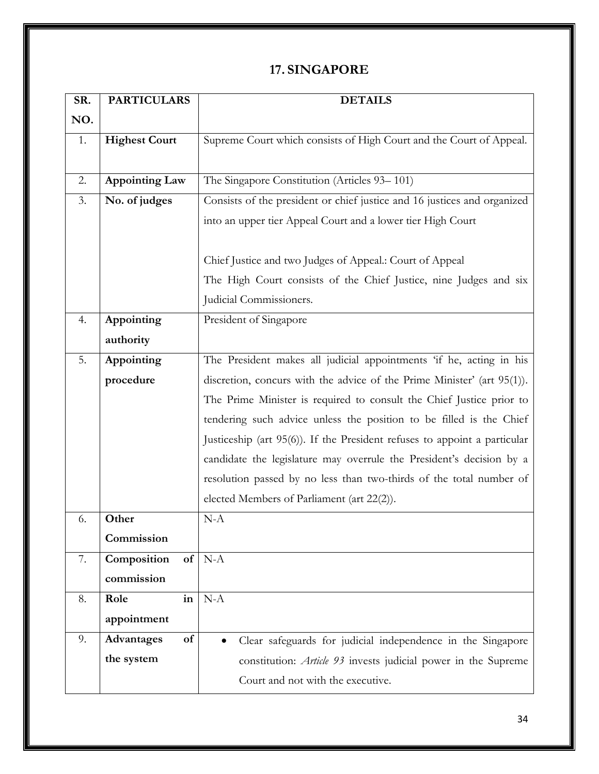#### **17. SINGAPORE**

| SR. | <b>PARTICULARS</b>    | <b>DETAILS</b>                                                            |
|-----|-----------------------|---------------------------------------------------------------------------|
| NO. |                       |                                                                           |
| 1.  | <b>Highest Court</b>  | Supreme Court which consists of High Court and the Court of Appeal.       |
|     |                       |                                                                           |
| 2.  | <b>Appointing Law</b> | The Singapore Constitution (Articles 93-101)                              |
| 3.  | No. of judges         | Consists of the president or chief justice and 16 justices and organized  |
|     |                       | into an upper tier Appeal Court and a lower tier High Court               |
|     |                       |                                                                           |
|     |                       | Chief Justice and two Judges of Appeal.: Court of Appeal                  |
|     |                       | The High Court consists of the Chief Justice, nine Judges and six         |
|     |                       | Judicial Commissioners.                                                   |
| 4.  | Appointing            | President of Singapore                                                    |
|     | authority             |                                                                           |
| 5.  | Appointing            | The President makes all judicial appointments 'if he, acting in his       |
|     | procedure             | discretion, concurs with the advice of the Prime Minister' (art 95(1)).   |
|     |                       | The Prime Minister is required to consult the Chief Justice prior to      |
|     |                       | tendering such advice unless the position to be filled is the Chief       |
|     |                       | Justiceship (art 95(6)). If the President refuses to appoint a particular |
|     |                       | candidate the legislature may overrule the President's decision by a      |
|     |                       | resolution passed by no less than two-thirds of the total number of       |
|     |                       | elected Members of Parliament (art 22(2)).                                |
| 6.  | Other                 | $N-A$                                                                     |
|     | Commission            |                                                                           |
| 7.  | Composition<br>of     | $N-A$                                                                     |
|     | commission            |                                                                           |
| 8.  | Role<br>in            | $N-A$                                                                     |
|     | appointment           |                                                                           |
| 9.  | Advantages<br>of      | Clear safeguards for judicial independence in the Singapore<br>$\bullet$  |
|     | the system            | constitution: Article 93 invests judicial power in the Supreme            |
|     |                       | Court and not with the executive.                                         |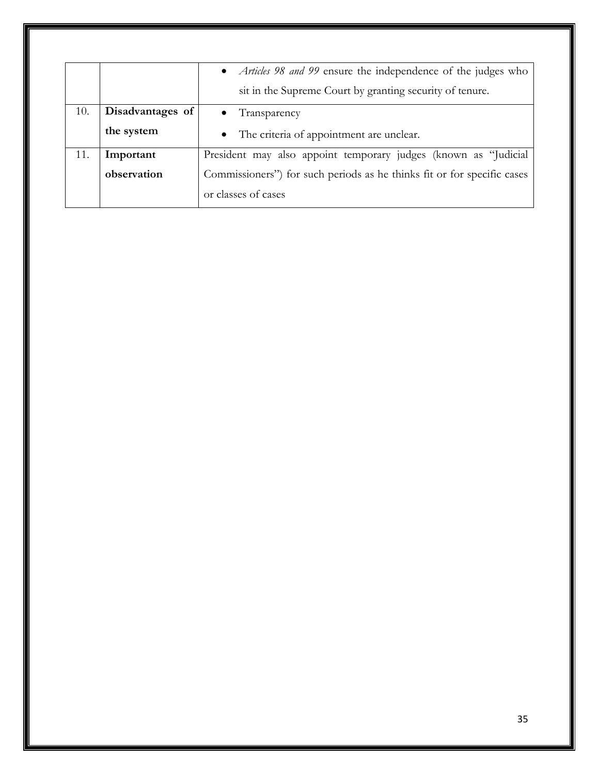|     |                  | • <i>Articles 98 and 99</i> ensure the independence of the judges who   |
|-----|------------------|-------------------------------------------------------------------------|
|     |                  | sit in the Supreme Court by granting security of tenure.                |
| 10. | Disadvantages of | Transparency                                                            |
|     | the system       | • The criteria of appointment are unclear.                              |
| 11. | Important        | President may also appoint temporary judges (known as "Judicial         |
|     | observation      | Commissioners") for such periods as he thinks fit or for specific cases |
|     |                  | or classes of cases                                                     |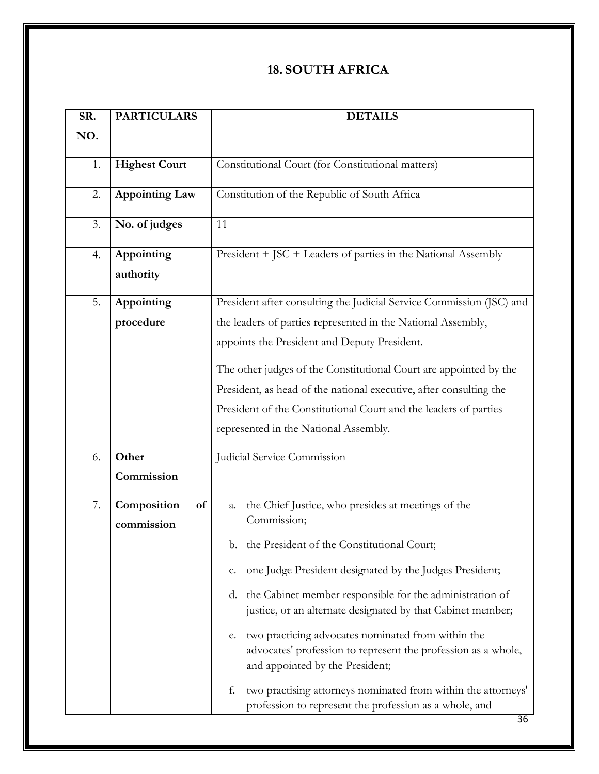## **18. SOUTH AFRICA**

| SR. | <b>PARTICULARS</b>      | <b>DETAILS</b>                                                                                                                                               |
|-----|-------------------------|--------------------------------------------------------------------------------------------------------------------------------------------------------------|
| NO. |                         |                                                                                                                                                              |
| 1.  | <b>Highest Court</b>    | Constitutional Court (for Constitutional matters)                                                                                                            |
| 2.  | <b>Appointing Law</b>   | Constitution of the Republic of South Africa                                                                                                                 |
| 3.  | No. of judges           | 11                                                                                                                                                           |
| 4.  | Appointing<br>authority | President + JSC + Leaders of parties in the National Assembly                                                                                                |
| 5.  | Appointing              | President after consulting the Judicial Service Commission (JSC) and                                                                                         |
|     | procedure               | the leaders of parties represented in the National Assembly,                                                                                                 |
|     |                         | appoints the President and Deputy President.                                                                                                                 |
|     |                         | The other judges of the Constitutional Court are appointed by the                                                                                            |
|     |                         | President, as head of the national executive, after consulting the                                                                                           |
|     |                         | President of the Constitutional Court and the leaders of parties                                                                                             |
|     |                         | represented in the National Assembly.                                                                                                                        |
| 6.  | Other                   | Judicial Service Commission                                                                                                                                  |
|     | Commission              |                                                                                                                                                              |
| 7.  | Composition<br>of       | the Chief Justice, who presides at meetings of the<br>a.                                                                                                     |
|     | commission              | Commission;                                                                                                                                                  |
|     |                         | b. the President of the Constitutional Court;                                                                                                                |
|     |                         | one Judge President designated by the Judges President;<br>c.                                                                                                |
|     |                         | d. the Cabinet member responsible for the administration of<br>justice, or an alternate designated by that Cabinet member;                                   |
|     |                         | two practicing advocates nominated from within the<br>e.<br>advocates' profession to represent the profession as a whole,<br>and appointed by the President; |
|     |                         | two practising attorneys nominated from within the attorneys'<br>f.<br>profession to represent the profession as a whole, and                                |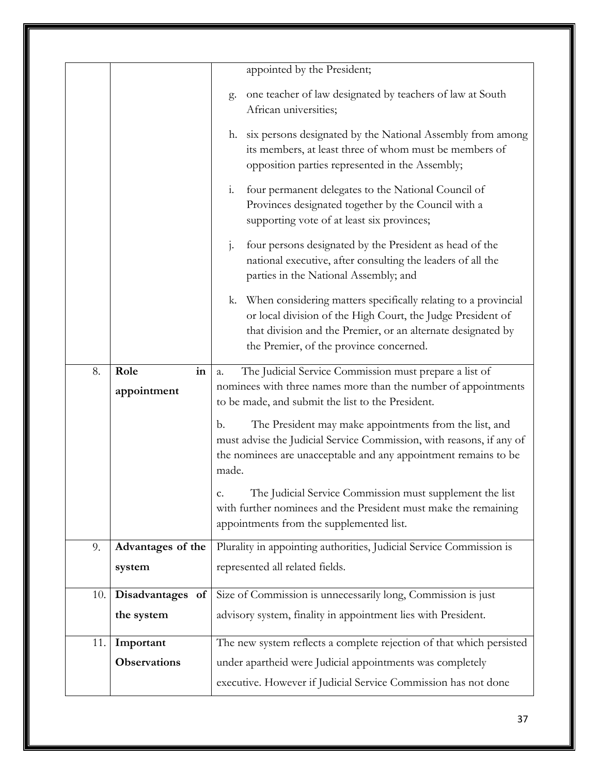|     |                     | appointed by the President;                                                                                                                                                                                                                 |
|-----|---------------------|---------------------------------------------------------------------------------------------------------------------------------------------------------------------------------------------------------------------------------------------|
|     |                     |                                                                                                                                                                                                                                             |
|     |                     | one teacher of law designated by teachers of law at South<br>g.<br>African universities;                                                                                                                                                    |
|     |                     | six persons designated by the National Assembly from among<br>h.<br>its members, at least three of whom must be members of<br>opposition parties represented in the Assembly;                                                               |
|     |                     | four permanent delegates to the National Council of<br>1.<br>Provinces designated together by the Council with a<br>supporting vote of at least six provinces;                                                                              |
|     |                     | four persons designated by the President as head of the<br>$\mathbf{j}$ .<br>national executive, after consulting the leaders of all the<br>parties in the National Assembly; and                                                           |
|     |                     | k. When considering matters specifically relating to a provincial<br>or local division of the High Court, the Judge President of<br>that division and the Premier, or an alternate designated by<br>the Premier, of the province concerned. |
| 8.  | Role<br>in          | The Judicial Service Commission must prepare a list of<br>a.                                                                                                                                                                                |
|     | appointment         | nominees with three names more than the number of appointments<br>to be made, and submit the list to the President.                                                                                                                         |
|     |                     | The President may make appointments from the list, and<br>b.<br>must advise the Judicial Service Commission, with reasons, if any of<br>the nominees are unacceptable and any appointment remains to be<br>made.                            |
|     |                     | The Judicial Service Commission must supplement the list<br>c.<br>with further nominees and the President must make the remaining<br>appointments from the supplemented list.                                                               |
| 9.  | Advantages of the   | Plurality in appointing authorities, Judicial Service Commission is                                                                                                                                                                         |
|     | system              | represented all related fields.                                                                                                                                                                                                             |
| 10. | Disadvantages of    | Size of Commission is unnecessarily long, Commission is just                                                                                                                                                                                |
|     | the system          | advisory system, finality in appointment lies with President.                                                                                                                                                                               |
| 11. | Important           | The new system reflects a complete rejection of that which persisted                                                                                                                                                                        |
|     | <b>Observations</b> | under apartheid were Judicial appointments was completely                                                                                                                                                                                   |
|     |                     |                                                                                                                                                                                                                                             |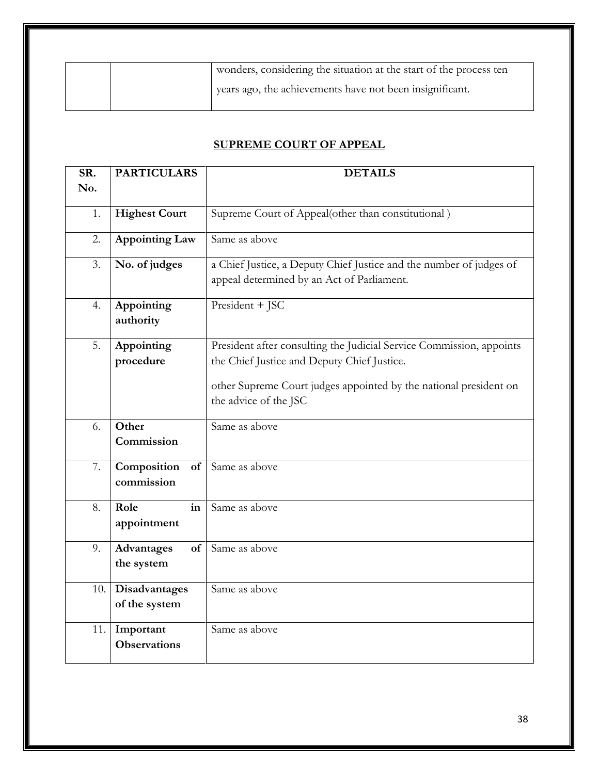| wonders, considering the situation at the start of the process ten |
|--------------------------------------------------------------------|
| years ago, the achievements have not been insignificant.           |

#### **SUPREME COURT OF APPEAL**

| SR. | <b>PARTICULARS</b>    | <b>DETAILS</b>                                                       |  |  |  |  |
|-----|-----------------------|----------------------------------------------------------------------|--|--|--|--|
| No. |                       |                                                                      |  |  |  |  |
|     |                       |                                                                      |  |  |  |  |
| 1.  | <b>Highest Court</b>  | Supreme Court of Appeal(other than constitutional)                   |  |  |  |  |
| 2.  | <b>Appointing Law</b> | Same as above                                                        |  |  |  |  |
| 3.  | No. of judges         | a Chief Justice, a Deputy Chief Justice and the number of judges of  |  |  |  |  |
|     |                       | appeal determined by an Act of Parliament.                           |  |  |  |  |
| 4.  | Appointing            | President + JSC                                                      |  |  |  |  |
|     | authority             |                                                                      |  |  |  |  |
|     |                       |                                                                      |  |  |  |  |
| 5.  | Appointing            | President after consulting the Judicial Service Commission, appoints |  |  |  |  |
|     | procedure             | the Chief Justice and Deputy Chief Justice.                          |  |  |  |  |
|     |                       | other Supreme Court judges appointed by the national president on    |  |  |  |  |
|     |                       | the advice of the JSC                                                |  |  |  |  |
|     |                       |                                                                      |  |  |  |  |
| 6.  | Other                 | Same as above                                                        |  |  |  |  |
|     | Commission            |                                                                      |  |  |  |  |
| 7.  | Composition<br>of     | Same as above                                                        |  |  |  |  |
|     | commission            |                                                                      |  |  |  |  |
|     |                       |                                                                      |  |  |  |  |
| 8.  | Role<br>in            | Same as above                                                        |  |  |  |  |
|     | appointment           |                                                                      |  |  |  |  |
|     |                       |                                                                      |  |  |  |  |
| 9.  | Advantages<br>of      | Same as above                                                        |  |  |  |  |
|     | the system            |                                                                      |  |  |  |  |
| 10. | Disadvantages         | Same as above                                                        |  |  |  |  |
|     | of the system         |                                                                      |  |  |  |  |
|     |                       |                                                                      |  |  |  |  |
| 11. | Important             | Same as above                                                        |  |  |  |  |
|     | <b>Observations</b>   |                                                                      |  |  |  |  |
|     |                       |                                                                      |  |  |  |  |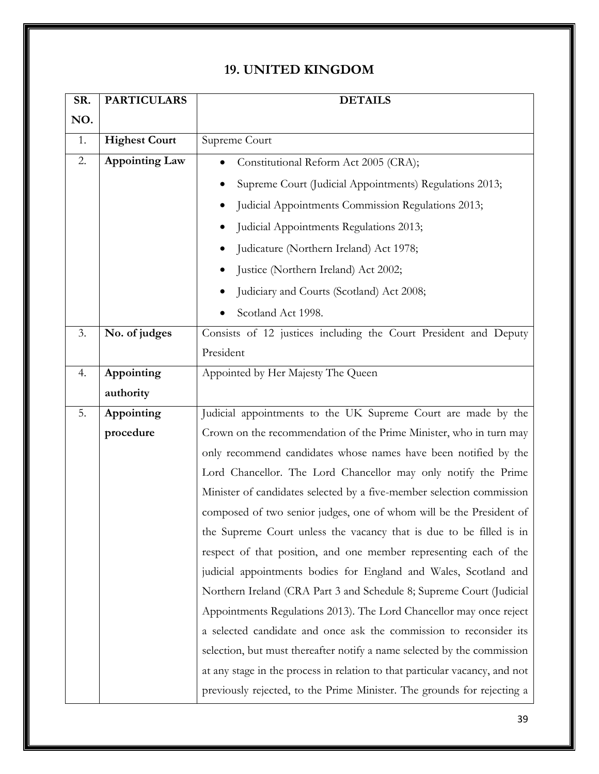#### **19. UNITED KINGDOM**

| SR. | <b>PARTICULARS</b>    | <b>DETAILS</b>                                                              |  |  |  |  |  |
|-----|-----------------------|-----------------------------------------------------------------------------|--|--|--|--|--|
| NO. |                       |                                                                             |  |  |  |  |  |
| 1.  | <b>Highest Court</b>  | Supreme Court                                                               |  |  |  |  |  |
| 2.  | <b>Appointing Law</b> | Constitutional Reform Act 2005 (CRA);                                       |  |  |  |  |  |
|     |                       | Supreme Court (Judicial Appointments) Regulations 2013;                     |  |  |  |  |  |
|     |                       | Judicial Appointments Commission Regulations 2013;                          |  |  |  |  |  |
|     |                       | Judicial Appointments Regulations 2013;                                     |  |  |  |  |  |
|     |                       | Judicature (Northern Ireland) Act 1978;                                     |  |  |  |  |  |
|     |                       | Justice (Northern Ireland) Act 2002;                                        |  |  |  |  |  |
|     |                       | Judiciary and Courts (Scotland) Act 2008;                                   |  |  |  |  |  |
|     |                       | Scotland Act 1998.                                                          |  |  |  |  |  |
| 3.  | No. of judges         | Consists of 12 justices including the Court President and Deputy            |  |  |  |  |  |
|     |                       | President                                                                   |  |  |  |  |  |
| 4.  | Appointing            | Appointed by Her Majesty The Queen                                          |  |  |  |  |  |
|     | authority             |                                                                             |  |  |  |  |  |
| 5.  | Appointing            | Judicial appointments to the UK Supreme Court are made by the               |  |  |  |  |  |
|     | procedure             | Crown on the recommendation of the Prime Minister, who in turn may          |  |  |  |  |  |
|     |                       | only recommend candidates whose names have been notified by the             |  |  |  |  |  |
|     |                       | Lord Chancellor. The Lord Chancellor may only notify the Prime              |  |  |  |  |  |
|     |                       | Minister of candidates selected by a five-member selection commission       |  |  |  |  |  |
|     |                       | composed of two senior judges, one of whom will be the President of         |  |  |  |  |  |
|     |                       | the Supreme Court unless the vacancy that is due to be filled is in         |  |  |  |  |  |
|     |                       | respect of that position, and one member representing each of the           |  |  |  |  |  |
|     |                       | judicial appointments bodies for England and Wales, Scotland and            |  |  |  |  |  |
|     |                       | Northern Ireland (CRA Part 3 and Schedule 8; Supreme Court (Judicial        |  |  |  |  |  |
|     |                       | Appointments Regulations 2013). The Lord Chancellor may once reject         |  |  |  |  |  |
|     |                       | a selected candidate and once ask the commission to reconsider its          |  |  |  |  |  |
|     |                       | selection, but must thereafter notify a name selected by the commission     |  |  |  |  |  |
|     |                       | at any stage in the process in relation to that particular vacancy, and not |  |  |  |  |  |
|     |                       | previously rejected, to the Prime Minister. The grounds for rejecting a     |  |  |  |  |  |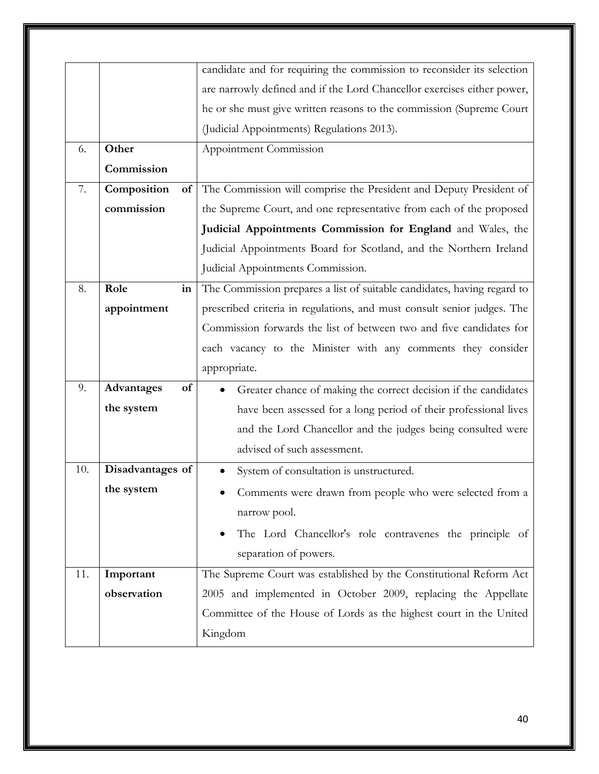|     |                   | candidate and for requiring the commission to reconsider its selection  |  |  |  |  |
|-----|-------------------|-------------------------------------------------------------------------|--|--|--|--|
|     |                   | are narrowly defined and if the Lord Chancellor exercises either power, |  |  |  |  |
|     |                   | he or she must give written reasons to the commission (Supreme Court    |  |  |  |  |
|     |                   | (Judicial Appointments) Regulations 2013).                              |  |  |  |  |
| 6.  | Other             | Appointment Commission                                                  |  |  |  |  |
|     | Commission        |                                                                         |  |  |  |  |
| 7.  | Composition<br>of | The Commission will comprise the President and Deputy President of      |  |  |  |  |
|     | commission        | the Supreme Court, and one representative from each of the proposed     |  |  |  |  |
|     |                   | Judicial Appointments Commission for England and Wales, the             |  |  |  |  |
|     |                   | Judicial Appointments Board for Scotland, and the Northern Ireland      |  |  |  |  |
|     |                   | Judicial Appointments Commission.                                       |  |  |  |  |
| 8.  | Role<br>in        | The Commission prepares a list of suitable candidates, having regard to |  |  |  |  |
|     | appointment       | prescribed criteria in regulations, and must consult senior judges. The |  |  |  |  |
|     |                   | Commission forwards the list of between two and five candidates for     |  |  |  |  |
|     |                   | each vacancy to the Minister with any comments they consider            |  |  |  |  |
|     |                   | appropriate.                                                            |  |  |  |  |
| 9.  | Advantages<br>of  | Greater chance of making the correct decision if the candidates         |  |  |  |  |
|     | the system        | have been assessed for a long period of their professional lives        |  |  |  |  |
|     |                   | and the Lord Chancellor and the judges being consulted were             |  |  |  |  |
|     |                   | advised of such assessment.                                             |  |  |  |  |
| 10. | Disadvantages of  | System of consultation is unstructured.                                 |  |  |  |  |
|     | the system        | Comments were drawn from people who were selected from a                |  |  |  |  |
|     |                   | narrow pool.                                                            |  |  |  |  |
|     |                   | The Lord Chancellor's role contravenes the principle of                 |  |  |  |  |
|     |                   | separation of powers.                                                   |  |  |  |  |
| 11. | Important         | The Supreme Court was established by the Constitutional Reform Act      |  |  |  |  |
|     | observation       | 2005 and implemented in October 2009, replacing the Appellate           |  |  |  |  |
|     |                   | Committee of the House of Lords as the highest court in the United      |  |  |  |  |
|     |                   | Kingdom                                                                 |  |  |  |  |
|     |                   |                                                                         |  |  |  |  |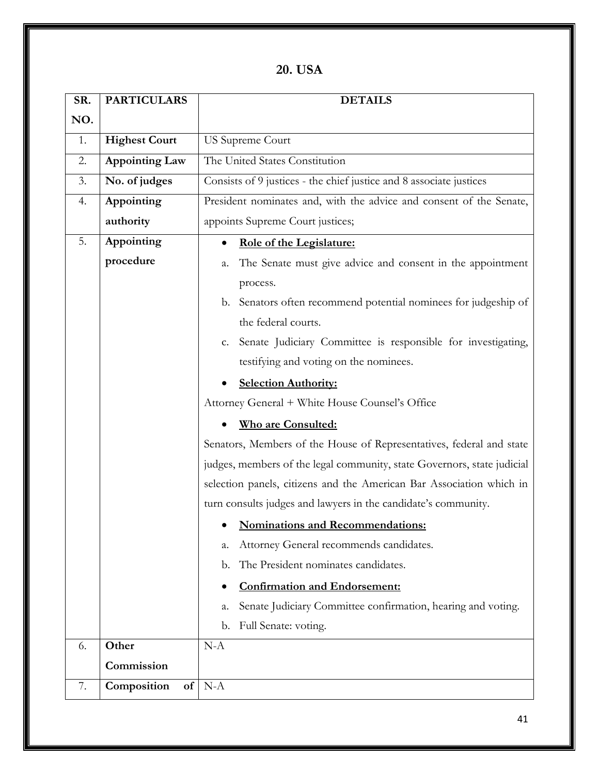**20. USA**

| SR. | <b>PARTICULARS</b>        | <b>DETAILS</b>                                                          |  |  |  |
|-----|---------------------------|-------------------------------------------------------------------------|--|--|--|
| NO. |                           |                                                                         |  |  |  |
| 1.  | <b>Highest Court</b>      | <b>US Supreme Court</b>                                                 |  |  |  |
| 2.  | <b>Appointing Law</b>     | The United States Constitution                                          |  |  |  |
| 3.  | No. of judges             | Consists of 9 justices - the chief justice and 8 associate justices     |  |  |  |
| 4.  | Appointing                | President nominates and, with the advice and consent of the Senate,     |  |  |  |
|     | authority                 | appoints Supreme Court justices;                                        |  |  |  |
| 5.  | Appointing                | Role of the Legislature:                                                |  |  |  |
|     | procedure                 | The Senate must give advice and consent in the appointment<br>a.        |  |  |  |
|     |                           | process.                                                                |  |  |  |
|     |                           | b. Senators often recommend potential nominees for judgeship of         |  |  |  |
|     |                           | the federal courts.                                                     |  |  |  |
|     |                           | c. Senate Judiciary Committee is responsible for investigating,         |  |  |  |
|     |                           | testifying and voting on the nominees.                                  |  |  |  |
|     |                           | <b>Selection Authority:</b>                                             |  |  |  |
|     |                           | Attorney General + White House Counsel's Office                         |  |  |  |
|     |                           | <b>Who are Consulted:</b>                                               |  |  |  |
|     |                           | Senators, Members of the House of Representatives, federal and state    |  |  |  |
|     |                           | judges, members of the legal community, state Governors, state judicial |  |  |  |
|     |                           | selection panels, citizens and the American Bar Association which in    |  |  |  |
|     |                           | turn consults judges and lawyers in the candidate's community.          |  |  |  |
|     |                           | • Nominations and Recommendations:                                      |  |  |  |
|     |                           | Attorney General recommends candidates.<br>a.                           |  |  |  |
|     |                           | The President nominates candidates.<br>b.                               |  |  |  |
|     |                           | <b>Confirmation and Endorsement:</b>                                    |  |  |  |
|     |                           | Senate Judiciary Committee confirmation, hearing and voting.<br>а.      |  |  |  |
|     |                           | Full Senate: voting.<br>b.                                              |  |  |  |
| 6.  | Other                     | $N-A$                                                                   |  |  |  |
|     | Commission                |                                                                         |  |  |  |
| 7.  | Composition<br>${\bf of}$ | $N-A$                                                                   |  |  |  |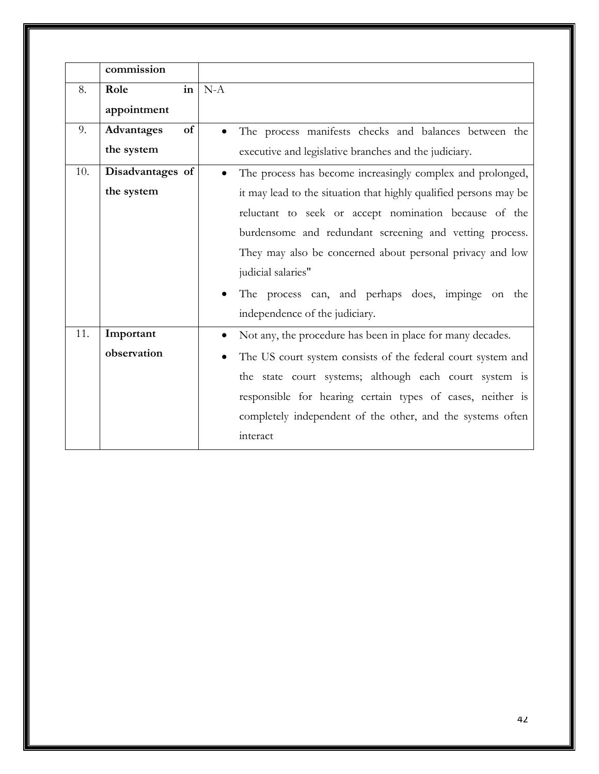|     | commission       |           |                                                                   |
|-----|------------------|-----------|-------------------------------------------------------------------|
| 8.  | in<br>Role       | $N-A$     |                                                                   |
|     | appointment      |           |                                                                   |
| 9.  | of<br>Advantages |           | The process manifests checks and balances between the             |
|     | the system       |           | executive and legislative branches and the judiciary.             |
| 10. | Disadvantages of | $\bullet$ | The process has become increasingly complex and prolonged,        |
|     | the system       |           | it may lead to the situation that highly qualified persons may be |
|     |                  |           | reluctant to seek or accept nomination because of the             |
|     |                  |           | burdensome and redundant screening and vetting process.           |
|     |                  |           | They may also be concerned about personal privacy and low         |
|     |                  |           | judicial salaries"                                                |
|     |                  |           | The process can, and perhaps does, impinge on the                 |
|     |                  |           | independence of the judiciary.                                    |
| 11. | Important        |           | Not any, the procedure has been in place for many decades.        |
|     | observation      |           | The US court system consists of the federal court system and      |
|     |                  |           | the state court systems; although each court system is            |
|     |                  |           | responsible for hearing certain types of cases, neither is        |
|     |                  |           | completely independent of the other, and the systems often        |
|     |                  |           | interact                                                          |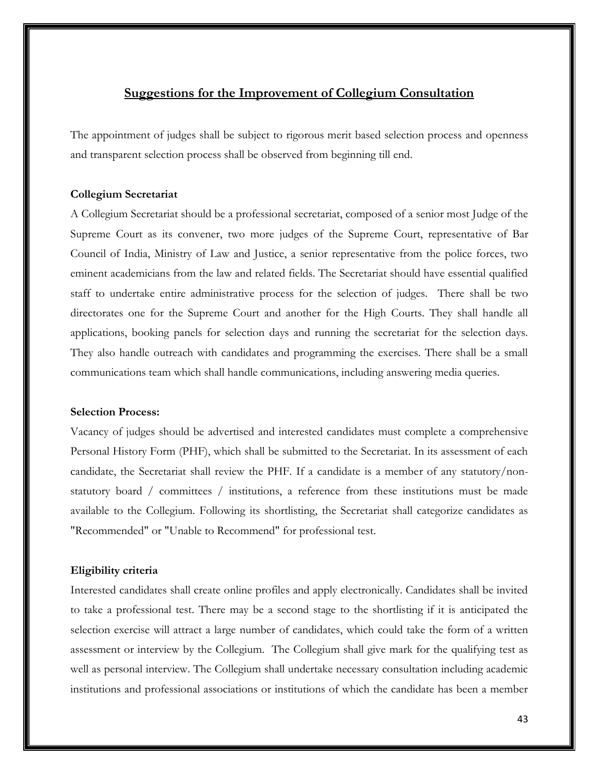#### **Suggestions for the Improvement of Collegium Consultation**

The appointment of judges shall be subject to rigorous merit based selection process and openness and transparent selection process shall be observed from beginning till end.

#### **Collegium Secretariat**

A Collegium Secretariat should be a professional secretariat, composed of a senior most Judge of the Supreme Court as its convener, two more judges of the Supreme Court, representative of Bar Council of India, Ministry of Law and Justice, a senior representative from the police forces, two eminent academicians from the law and related fields. The Secretariat should have essential qualified staff to undertake entire administrative process for the selection of judges. There shall be two directorates one for the Supreme Court and another for the High Courts. They shall handle all applications, booking panels for selection days and running the secretariat for the selection days. They also handle outreach with candidates and programming the exercises. There shall be a small communications team which shall handle communications, including answering media queries.

#### **Selection Process:**

Vacancy of judges should be advertised and interested candidates must complete a comprehensive Personal History Form (PHF), which shall be submitted to the Secretariat. In its assessment of each candidate, the Secretariat shall review the PHF. If a candidate is a member of any statutory/nonstatutory board / committees / institutions, a reference from these institutions must be made available to the Collegium. Following its shortlisting, the Secretariat shall categorize candidates as "Recommended" or "Unable to Recommend" for professional test.

#### **Eligibility criteria**

Interested candidates shall create online profiles and apply electronically. Candidates shall be invited to take a professional test. There may be a second stage to the shortlisting if it is anticipated the selection exercise will attract a large number of candidates, which could take the form of a written assessment or interview by the Collegium. The Collegium shall give mark for the qualifying test as well as personal interview. The Collegium shall undertake necessary consultation including academic institutions and professional associations or institutions of which the candidate has been a member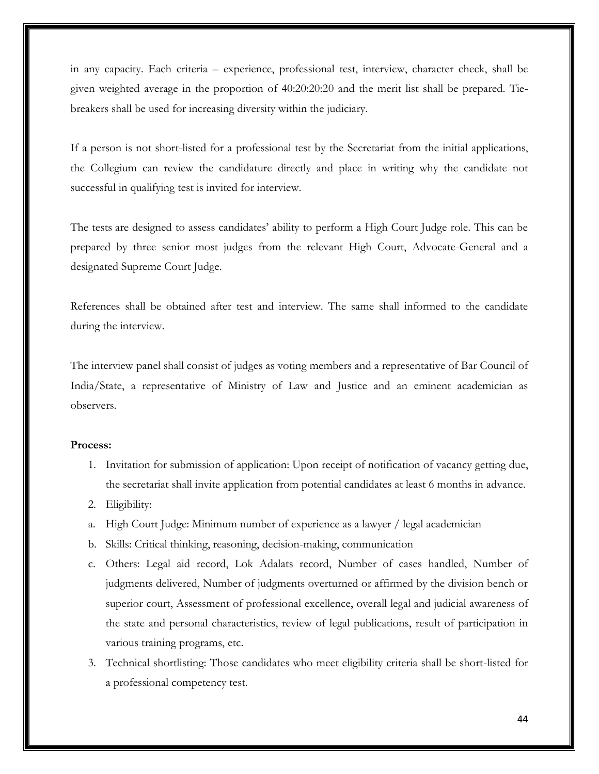in any capacity. Each criteria – experience, professional test, interview, character check, shall be given weighted average in the proportion of 40:20:20:20 and the merit list shall be prepared. Tiebreakers shall be used for increasing diversity within the judiciary.

If a person is not short-listed for a professional test by the Secretariat from the initial applications, the Collegium can review the candidature directly and place in writing why the candidate not successful in qualifying test is invited for interview.

The tests are designed to assess candidates' ability to perform a High Court Judge role. This can be prepared by three senior most judges from the relevant High Court, Advocate-General and a designated Supreme Court Judge.

References shall be obtained after test and interview. The same shall informed to the candidate during the interview.

The interview panel shall consist of judges as voting members and a representative of Bar Council of India/State, a representative of Ministry of Law and Justice and an eminent academician as observers.

#### **Process:**

- 1. Invitation for submission of application: Upon receipt of notification of vacancy getting due, the secretariat shall invite application from potential candidates at least 6 months in advance.
- 2. Eligibility:
- a. High Court Judge: Minimum number of experience as a lawyer / legal academician
- b. Skills: Critical thinking, reasoning, decision-making, communication
- c. Others: Legal aid record, Lok Adalats record, Number of cases handled, Number of judgments delivered, Number of judgments overturned or affirmed by the division bench or superior court, Assessment of professional excellence, overall legal and judicial awareness of the state and personal characteristics, review of legal publications, result of participation in various training programs, etc.
- 3. Technical shortlisting: Those candidates who meet eligibility criteria shall be short-listed for a professional competency test.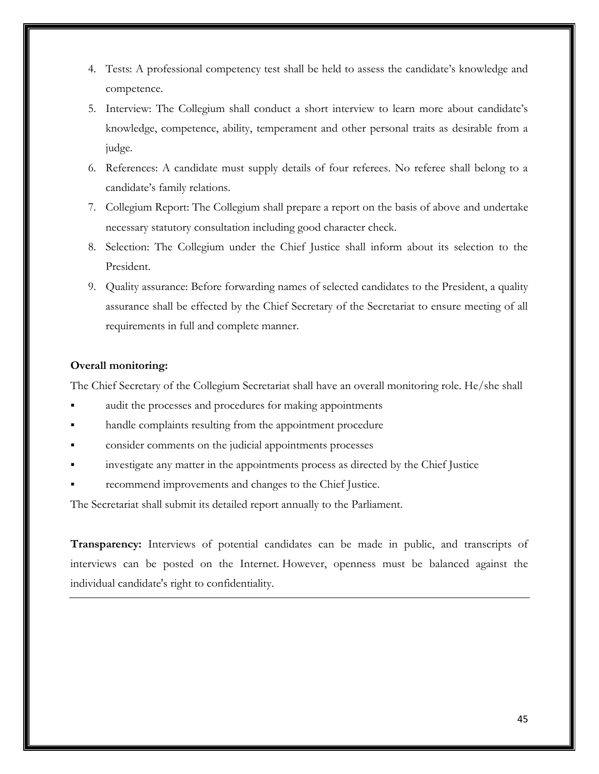- 4. Tests: A professional competency test shall be held to assess the candidate's knowledge and competence.
- 5. Interview: The Collegium shall conduct a short interview to learn more about candidate's knowledge, competence, ability, temperament and other personal traits as desirable from a judge.
- 6. References: A candidate must supply details of four referees. No referee shall belong to a candidate's family relations.
- 7. Collegium Report: The Collegium shall prepare a report on the basis of above and undertake necessary statutory consultation including good character check.
- 8. Selection: The Collegium under the Chief Justice shall inform about its selection to the President.
- 9. Quality assurance: Before forwarding names of selected candidates to the President, a quality assurance shall be effected by the Chief Secretary of the Secretariat to ensure meeting of all requirements in full and complete manner.

#### **Overall monitoring:**

The Chief Secretary of the Collegium Secretariat shall have an overall monitoring role. He/she shall

- audit the processes and procedures for making appointments
- handle complaints resulting from the appointment procedure
- consider comments on the judicial appointments processes
- investigate any matter in the appointments process as directed by the Chief Justice
- recommend improvements and changes to the Chief Justice.

The Secretariat shall submit its detailed report annually to the Parliament.

**Transparency:** Interviews of potential candidates can be made in public, and transcripts of interviews can be posted on the Internet. However, openness must be balanced against the individual candidate's right to confidentiality.